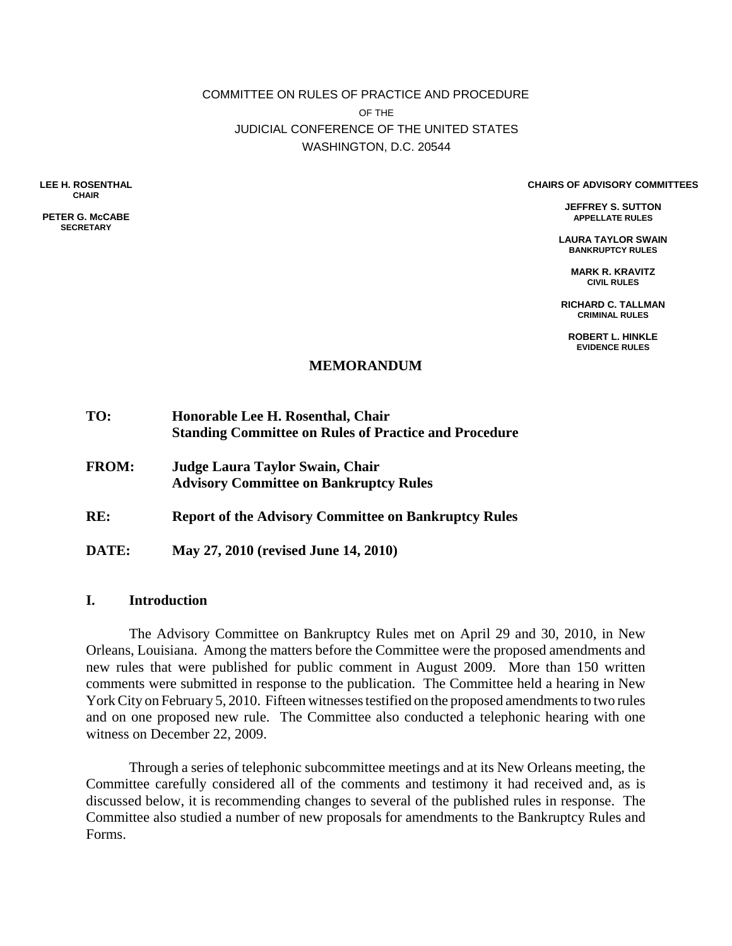COMMITTEE ON RULES OF PRACTICE AND PROCEDURE OF THE JUDICIAL CONFERENCE OF THE UNITED STATES WASHINGTON, D.C. 20544

**CHAIRS OF ADVISORY COMMITTEES**

**JEFFREY S. SUTTON APPELLATE RULES**

**LAURA TAYLOR SWAIN BANKRUPTCY RULES**

> **MARK R. KRAVITZ CIVIL RULES**

**RICHARD C. TALLMAN CRIMINAL RULES**

**ROBERT L. HINKLE EVIDENCE RULES**

#### **MEMORANDUM**

| TO:          | Honorable Lee H. Rosenthal, Chair<br><b>Standing Committee on Rules of Practice and Procedure</b> |
|--------------|---------------------------------------------------------------------------------------------------|
| <b>FROM:</b> | Judge Laura Taylor Swain, Chair<br><b>Advisory Committee on Bankruptcy Rules</b>                  |
| RE:          | <b>Report of the Advisory Committee on Bankruptcy Rules</b>                                       |
| DATE:        | May 27, 2010 (revised June 14, 2010)                                                              |

## **I. Introduction**

The Advisory Committee on Bankruptcy Rules met on April 29 and 30, 2010, in New Orleans, Louisiana. Among the matters before the Committee were the proposed amendments and new rules that were published for public comment in August 2009. More than 150 written comments were submitted in response to the publication. The Committee held a hearing in New York City on February 5, 2010. Fifteen witnesses testified on the proposed amendments to two rules and on one proposed new rule. The Committee also conducted a telephonic hearing with one witness on December 22, 2009.

Through a series of telephonic subcommittee meetings and at its New Orleans meeting, the Committee carefully considered all of the comments and testimony it had received and, as is discussed below, it is recommending changes to several of the published rules in response. The Committee also studied a number of new proposals for amendments to the Bankruptcy Rules and Forms.

**LEE H. ROSENTHAL CHAIR**

**PETER G. McCABE SECRETARY**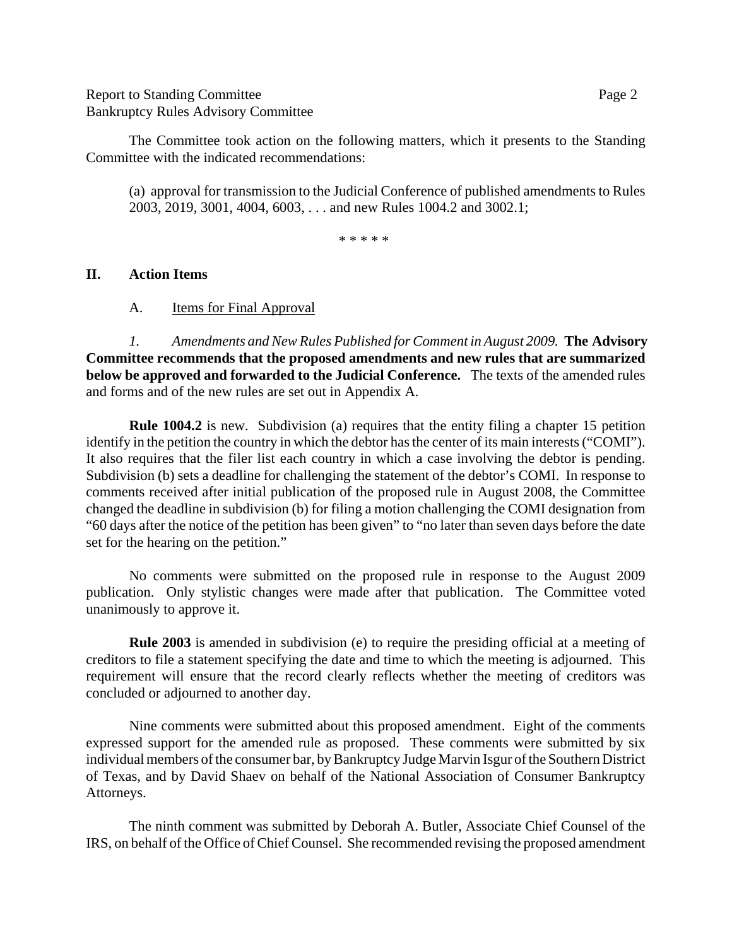## Report to Standing Committee Page 2 Bankruptcy Rules Advisory Committee

The Committee took action on the following matters, which it presents to the Standing Committee with the indicated recommendations:

(a) approval for transmission to the Judicial Conference of published amendments to Rules 2003, 2019, 3001, 4004, 6003, . . . and new Rules 1004.2 and 3002.1;

\* \* \* \* \*

# **II. Action Items**

# A. Items for Final Approval

*1. Amendments and New Rules Published for Comment in August 2009.* **The Advisory Committee recommends that the proposed amendments and new rules that are summarized below be approved and forwarded to the Judicial Conference.** The texts of the amended rules and forms and of the new rules are set out in Appendix A.

**Rule 1004.2** is new. Subdivision (a) requires that the entity filing a chapter 15 petition identify in the petition the country in which the debtor has the center of its main interests ("COMI"). It also requires that the filer list each country in which a case involving the debtor is pending. Subdivision (b) sets a deadline for challenging the statement of the debtor's COMI. In response to comments received after initial publication of the proposed rule in August 2008, the Committee changed the deadline in subdivision (b) for filing a motion challenging the COMI designation from "60 days after the notice of the petition has been given" to "no later than seven days before the date set for the hearing on the petition."

No comments were submitted on the proposed rule in response to the August 2009 publication. Only stylistic changes were made after that publication. The Committee voted unanimously to approve it.

**Rule 2003** is amended in subdivision (e) to require the presiding official at a meeting of creditors to file a statement specifying the date and time to which the meeting is adjourned. This requirement will ensure that the record clearly reflects whether the meeting of creditors was concluded or adjourned to another day.

Nine comments were submitted about this proposed amendment. Eight of the comments expressed support for the amended rule as proposed. These comments were submitted by six individual members of the consumer bar, by Bankruptcy Judge Marvin Isgur of the Southern District of Texas, and by David Shaev on behalf of the National Association of Consumer Bankruptcy Attorneys.

The ninth comment was submitted by Deborah A. Butler, Associate Chief Counsel of the IRS, on behalf of the Office of Chief Counsel. She recommended revising the proposed amendment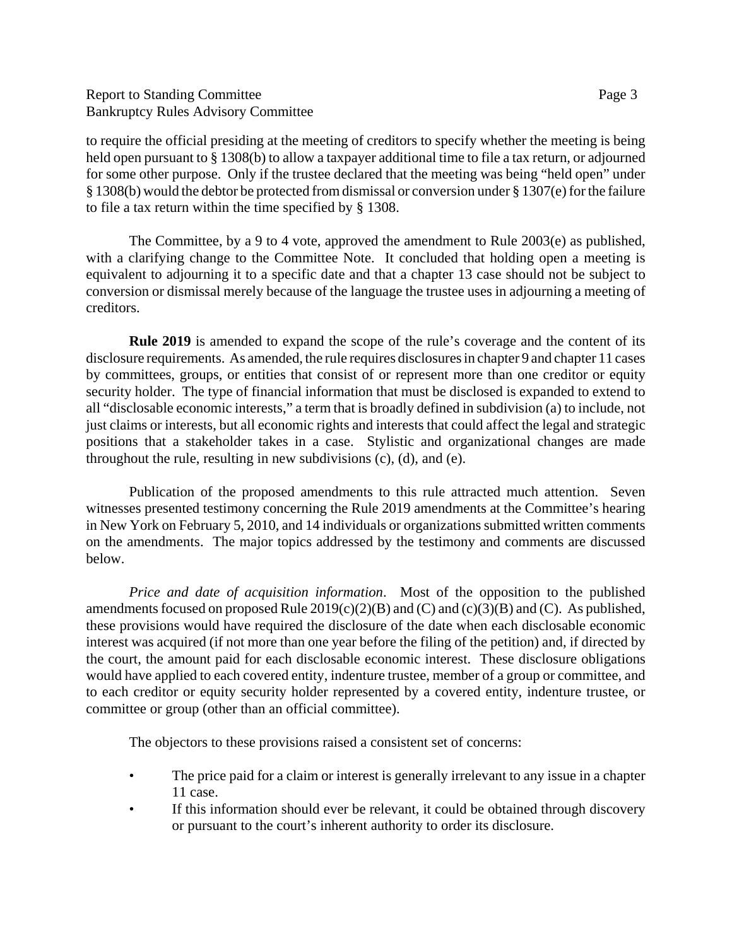# Report to Standing Committee Page 3 Bankruptcy Rules Advisory Committee

to require the official presiding at the meeting of creditors to specify whether the meeting is being held open pursuant to § 1308(b) to allow a taxpayer additional time to file a tax return, or adjourned for some other purpose. Only if the trustee declared that the meeting was being "held open" under § 1308(b) would the debtor be protected from dismissal or conversion under § 1307(e) for the failure to file a tax return within the time specified by § 1308.

The Committee, by a 9 to 4 vote, approved the amendment to Rule 2003(e) as published, with a clarifying change to the Committee Note. It concluded that holding open a meeting is equivalent to adjourning it to a specific date and that a chapter 13 case should not be subject to conversion or dismissal merely because of the language the trustee uses in adjourning a meeting of creditors.

**Rule 2019** is amended to expand the scope of the rule's coverage and the content of its disclosure requirements. As amended, the rule requires disclosures in chapter 9 and chapter 11 cases by committees, groups, or entities that consist of or represent more than one creditor or equity security holder. The type of financial information that must be disclosed is expanded to extend to all "disclosable economic interests," a term that is broadly defined in subdivision (a) to include, not just claims or interests, but all economic rights and interests that could affect the legal and strategic positions that a stakeholder takes in a case. Stylistic and organizational changes are made throughout the rule, resulting in new subdivisions (c), (d), and (e).

Publication of the proposed amendments to this rule attracted much attention. Seven witnesses presented testimony concerning the Rule 2019 amendments at the Committee's hearing in New York on February 5, 2010, and 14 individuals or organizations submitted written comments on the amendments. The major topics addressed by the testimony and comments are discussed below.

*Price and date of acquisition information*. Most of the opposition to the published amendments focused on proposed Rule  $2019(c)(2)(B)$  and  $(C)$  and  $(c)(3)(B)$  and  $(C)$ . As published, these provisions would have required the disclosure of the date when each disclosable economic interest was acquired (if not more than one year before the filing of the petition) and, if directed by the court, the amount paid for each disclosable economic interest. These disclosure obligations would have applied to each covered entity, indenture trustee, member of a group or committee, and to each creditor or equity security holder represented by a covered entity, indenture trustee, or committee or group (other than an official committee).

The objectors to these provisions raised a consistent set of concerns:

- The price paid for a claim or interest is generally irrelevant to any issue in a chapter 11 case.
- If this information should ever be relevant, it could be obtained through discovery or pursuant to the court's inherent authority to order its disclosure.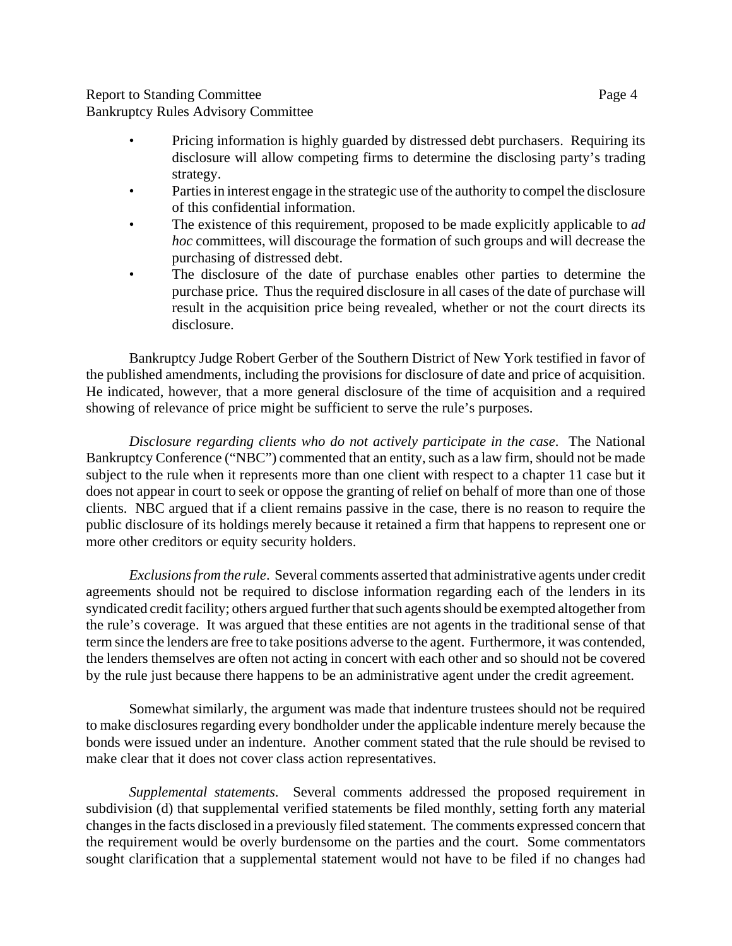# Report to Standing Committee Page 4 Bankruptcy Rules Advisory Committee

- Pricing information is highly guarded by distressed debt purchasers. Requiring its disclosure will allow competing firms to determine the disclosing party's trading strategy.
- Parties in interest engage in the strategic use of the authority to compel the disclosure of this confidential information.
- The existence of this requirement, proposed to be made explicitly applicable to *ad hoc* committees, will discourage the formation of such groups and will decrease the purchasing of distressed debt.
- The disclosure of the date of purchase enables other parties to determine the purchase price. Thus the required disclosure in all cases of the date of purchase will result in the acquisition price being revealed, whether or not the court directs its disclosure.

Bankruptcy Judge Robert Gerber of the Southern District of New York testified in favor of the published amendments, including the provisions for disclosure of date and price of acquisition. He indicated, however, that a more general disclosure of the time of acquisition and a required showing of relevance of price might be sufficient to serve the rule's purposes.

*Disclosure regarding clients who do not actively participate in the case*. The National Bankruptcy Conference ("NBC") commented that an entity, such as a law firm, should not be made subject to the rule when it represents more than one client with respect to a chapter 11 case but it does not appear in court to seek or oppose the granting of relief on behalf of more than one of those clients. NBC argued that if a client remains passive in the case, there is no reason to require the public disclosure of its holdings merely because it retained a firm that happens to represent one or more other creditors or equity security holders.

*Exclusions from the rule*. Several comments asserted that administrative agents under credit agreements should not be required to disclose information regarding each of the lenders in its syndicated credit facility; others argued further that such agents should be exempted altogether from the rule's coverage. It was argued that these entities are not agents in the traditional sense of that term since the lenders are free to take positions adverse to the agent. Furthermore, it was contended, the lenders themselves are often not acting in concert with each other and so should not be covered by the rule just because there happens to be an administrative agent under the credit agreement.

Somewhat similarly, the argument was made that indenture trustees should not be required to make disclosures regarding every bondholder under the applicable indenture merely because the bonds were issued under an indenture. Another comment stated that the rule should be revised to make clear that it does not cover class action representatives.

*Supplemental statements*. Several comments addressed the proposed requirement in subdivision (d) that supplemental verified statements be filed monthly, setting forth any material changes in the facts disclosed in a previously filed statement. The comments expressed concern that the requirement would be overly burdensome on the parties and the court. Some commentators sought clarification that a supplemental statement would not have to be filed if no changes had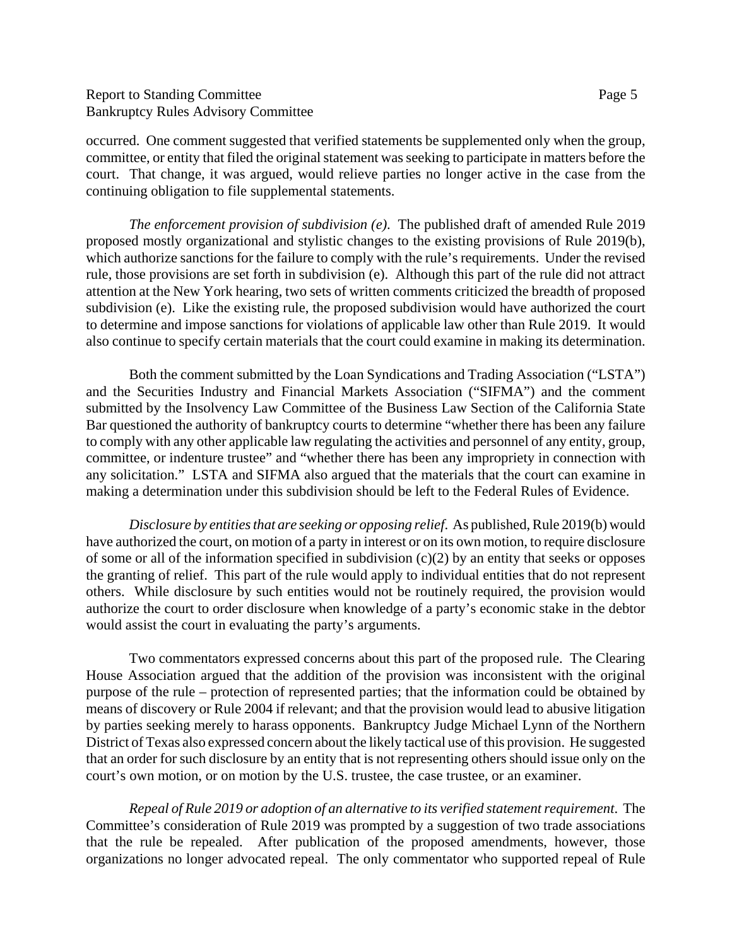## Report to Standing Committee Page 5 Bankruptcy Rules Advisory Committee

occurred. One comment suggested that verified statements be supplemented only when the group, committee, or entity that filed the original statement was seeking to participate in matters before the court. That change, it was argued, would relieve parties no longer active in the case from the continuing obligation to file supplemental statements.

*The enforcement provision of subdivision (e)*. The published draft of amended Rule 2019 proposed mostly organizational and stylistic changes to the existing provisions of Rule 2019(b), which authorize sanctions for the failure to comply with the rule's requirements. Under the revised rule, those provisions are set forth in subdivision (e). Although this part of the rule did not attract attention at the New York hearing, two sets of written comments criticized the breadth of proposed subdivision (e). Like the existing rule, the proposed subdivision would have authorized the court to determine and impose sanctions for violations of applicable law other than Rule 2019. It would also continue to specify certain materials that the court could examine in making its determination.

Both the comment submitted by the Loan Syndications and Trading Association ("LSTA") and the Securities Industry and Financial Markets Association ("SIFMA") and the comment submitted by the Insolvency Law Committee of the Business Law Section of the California State Bar questioned the authority of bankruptcy courts to determine "whether there has been any failure to comply with any other applicable law regulating the activities and personnel of any entity, group, committee, or indenture trustee" and "whether there has been any impropriety in connection with any solicitation." LSTA and SIFMA also argued that the materials that the court can examine in making a determination under this subdivision should be left to the Federal Rules of Evidence.

*Disclosure by entities that are seeking or opposing relief*. As published, Rule 2019(b) would have authorized the court, on motion of a party in interest or on its own motion, to require disclosure of some or all of the information specified in subdivision (c)(2) by an entity that seeks or opposes the granting of relief. This part of the rule would apply to individual entities that do not represent others. While disclosure by such entities would not be routinely required, the provision would authorize the court to order disclosure when knowledge of a party's economic stake in the debtor would assist the court in evaluating the party's arguments.

Two commentators expressed concerns about this part of the proposed rule. The Clearing House Association argued that the addition of the provision was inconsistent with the original purpose of the rule – protection of represented parties; that the information could be obtained by means of discovery or Rule 2004 if relevant; and that the provision would lead to abusive litigation by parties seeking merely to harass opponents. Bankruptcy Judge Michael Lynn of the Northern District of Texas also expressed concern about the likely tactical use of this provision. He suggested that an order for such disclosure by an entity that is not representing others should issue only on the court's own motion, or on motion by the U.S. trustee, the case trustee, or an examiner.

*Repeal of Rule 2019 or adoption of an alternative to its verified statement requirement*. The Committee's consideration of Rule 2019 was prompted by a suggestion of two trade associations that the rule be repealed. After publication of the proposed amendments, however, those organizations no longer advocated repeal. The only commentator who supported repeal of Rule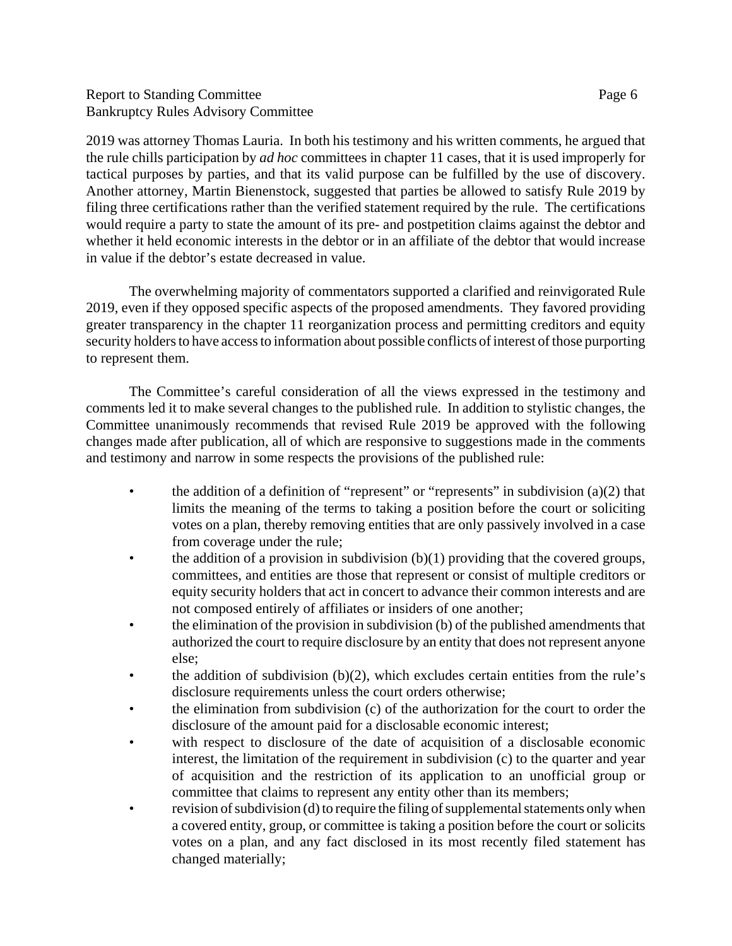# Report to Standing Committee Page 6 Bankruptcy Rules Advisory Committee

2019 was attorney Thomas Lauria. In both his testimony and his written comments, he argued that the rule chills participation by *ad hoc* committees in chapter 11 cases, that it is used improperly for tactical purposes by parties, and that its valid purpose can be fulfilled by the use of discovery. Another attorney, Martin Bienenstock, suggested that parties be allowed to satisfy Rule 2019 by filing three certifications rather than the verified statement required by the rule. The certifications would require a party to state the amount of its pre- and postpetition claims against the debtor and whether it held economic interests in the debtor or in an affiliate of the debtor that would increase in value if the debtor's estate decreased in value.

The overwhelming majority of commentators supported a clarified and reinvigorated Rule 2019, even if they opposed specific aspects of the proposed amendments. They favored providing greater transparency in the chapter 11 reorganization process and permitting creditors and equity security holders to have access to information about possible conflicts of interest of those purporting to represent them.

The Committee's careful consideration of all the views expressed in the testimony and comments led it to make several changes to the published rule. In addition to stylistic changes, the Committee unanimously recommends that revised Rule 2019 be approved with the following changes made after publication, all of which are responsive to suggestions made in the comments and testimony and narrow in some respects the provisions of the published rule:

- the addition of a definition of "represent" or "represents" in subdivision (a)(2) that limits the meaning of the terms to taking a position before the court or soliciting votes on a plan, thereby removing entities that are only passively involved in a case from coverage under the rule;
- the addition of a provision in subdivision  $(b)(1)$  providing that the covered groups, committees, and entities are those that represent or consist of multiple creditors or equity security holders that act in concert to advance their common interests and are not composed entirely of affiliates or insiders of one another;
- the elimination of the provision in subdivision (b) of the published amendments that authorized the court to require disclosure by an entity that does not represent anyone else;
- the addition of subdivision  $(b)(2)$ , which excludes certain entities from the rule's disclosure requirements unless the court orders otherwise;
- the elimination from subdivision (c) of the authorization for the court to order the disclosure of the amount paid for a disclosable economic interest;
- with respect to disclosure of the date of acquisition of a disclosable economic interest, the limitation of the requirement in subdivision (c) to the quarter and year of acquisition and the restriction of its application to an unofficial group or committee that claims to represent any entity other than its members;
- revision of subdivision (d) to require the filing of supplemental statements only when a covered entity, group, or committee is taking a position before the court or solicits votes on a plan, and any fact disclosed in its most recently filed statement has changed materially;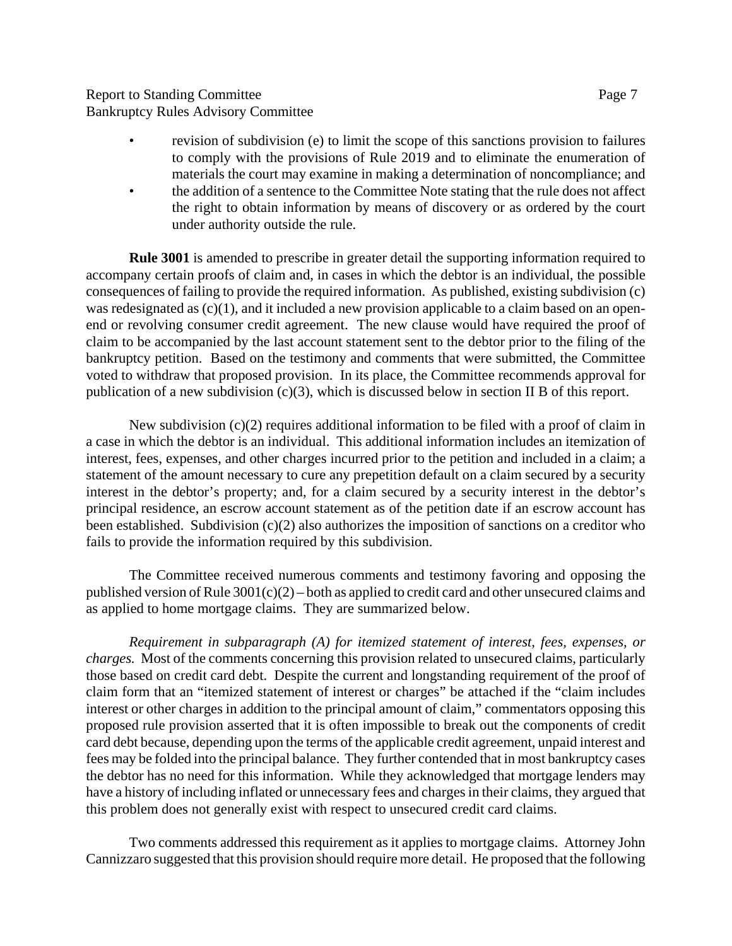# Report to Standing Committee Page 7 Bankruptcy Rules Advisory Committee

- revision of subdivision (e) to limit the scope of this sanctions provision to failures to comply with the provisions of Rule 2019 and to eliminate the enumeration of materials the court may examine in making a determination of noncompliance; and
- the addition of a sentence to the Committee Note stating that the rule does not affect the right to obtain information by means of discovery or as ordered by the court under authority outside the rule.

**Rule 3001** is amended to prescribe in greater detail the supporting information required to accompany certain proofs of claim and, in cases in which the debtor is an individual, the possible consequences of failing to provide the required information. As published, existing subdivision (c) was redesignated as  $(c)(1)$ , and it included a new provision applicable to a claim based on an openend or revolving consumer credit agreement. The new clause would have required the proof of claim to be accompanied by the last account statement sent to the debtor prior to the filing of the bankruptcy petition. Based on the testimony and comments that were submitted, the Committee voted to withdraw that proposed provision. In its place, the Committee recommends approval for publication of a new subdivision (c)(3), which is discussed below in section II B of this report.

New subdivision (c)(2) requires additional information to be filed with a proof of claim in a case in which the debtor is an individual. This additional information includes an itemization of interest, fees, expenses, and other charges incurred prior to the petition and included in a claim; a statement of the amount necessary to cure any prepetition default on a claim secured by a security interest in the debtor's property; and, for a claim secured by a security interest in the debtor's principal residence, an escrow account statement as of the petition date if an escrow account has been established. Subdivision (c)(2) also authorizes the imposition of sanctions on a creditor who fails to provide the information required by this subdivision.

The Committee received numerous comments and testimony favoring and opposing the published version of Rule 3001(c)(2) – both as applied to credit card and other unsecured claims and as applied to home mortgage claims. They are summarized below.

*Requirement in subparagraph (A) for itemized statement of interest, fees, expenses, or charges.* Most of the comments concerning this provision related to unsecured claims, particularly those based on credit card debt. Despite the current and longstanding requirement of the proof of claim form that an "itemized statement of interest or charges" be attached if the "claim includes interest or other charges in addition to the principal amount of claim," commentators opposing this proposed rule provision asserted that it is often impossible to break out the components of credit card debt because, depending upon the terms of the applicable credit agreement, unpaid interest and fees may be folded into the principal balance. They further contended that in most bankruptcy cases the debtor has no need for this information. While they acknowledged that mortgage lenders may have a history of including inflated or unnecessary fees and charges in their claims, they argued that this problem does not generally exist with respect to unsecured credit card claims.

Two comments addressed this requirement as it applies to mortgage claims. Attorney John Cannizzaro suggested that this provision should require more detail. He proposed that the following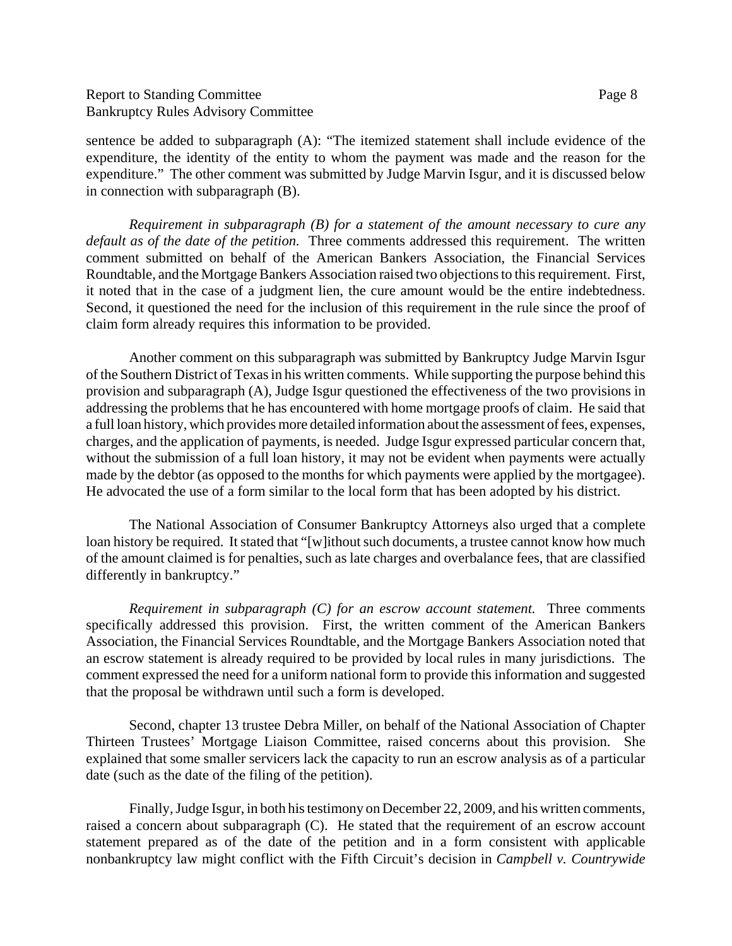## Report to Standing Committee Page 8 Bankruptcy Rules Advisory Committee

sentence be added to subparagraph (A): "The itemized statement shall include evidence of the expenditure, the identity of the entity to whom the payment was made and the reason for the expenditure." The other comment was submitted by Judge Marvin Isgur, and it is discussed below in connection with subparagraph (B).

*Requirement in subparagraph (B) for a statement of the amount necessary to cure any default as of the date of the petition.* Three comments addressed this requirement. The written comment submitted on behalf of the American Bankers Association, the Financial Services Roundtable, and the Mortgage Bankers Association raised two objections to this requirement. First, it noted that in the case of a judgment lien, the cure amount would be the entire indebtedness. Second, it questioned the need for the inclusion of this requirement in the rule since the proof of claim form already requires this information to be provided.

Another comment on this subparagraph was submitted by Bankruptcy Judge Marvin Isgur of the Southern District of Texas in his written comments. While supporting the purpose behind this provision and subparagraph (A), Judge Isgur questioned the effectiveness of the two provisions in addressing the problems that he has encountered with home mortgage proofs of claim. He said that a full loan history, which provides more detailed information about the assessment of fees, expenses, charges, and the application of payments, is needed. Judge Isgur expressed particular concern that, without the submission of a full loan history, it may not be evident when payments were actually made by the debtor (as opposed to the months for which payments were applied by the mortgagee). He advocated the use of a form similar to the local form that has been adopted by his district.

The National Association of Consumer Bankruptcy Attorneys also urged that a complete loan history be required. It stated that "[w]ithout such documents, a trustee cannot know how much of the amount claimed is for penalties, such as late charges and overbalance fees, that are classified differently in bankruptcy."

*Requirement in subparagraph (C) for an escrow account statement.* Three comments specifically addressed this provision. First, the written comment of the American Bankers Association, the Financial Services Roundtable, and the Mortgage Bankers Association noted that an escrow statement is already required to be provided by local rules in many jurisdictions. The comment expressed the need for a uniform national form to provide this information and suggested that the proposal be withdrawn until such a form is developed.

Second, chapter 13 trustee Debra Miller, on behalf of the National Association of Chapter Thirteen Trustees' Mortgage Liaison Committee, raised concerns about this provision. She explained that some smaller servicers lack the capacity to run an escrow analysis as of a particular date (such as the date of the filing of the petition).

Finally, Judge Isgur, in both his testimony on December 22, 2009, and his written comments, raised a concern about subparagraph (C). He stated that the requirement of an escrow account statement prepared as of the date of the petition and in a form consistent with applicable nonbankruptcy law might conflict with the Fifth Circuit's decision in *Campbell v. Countrywide*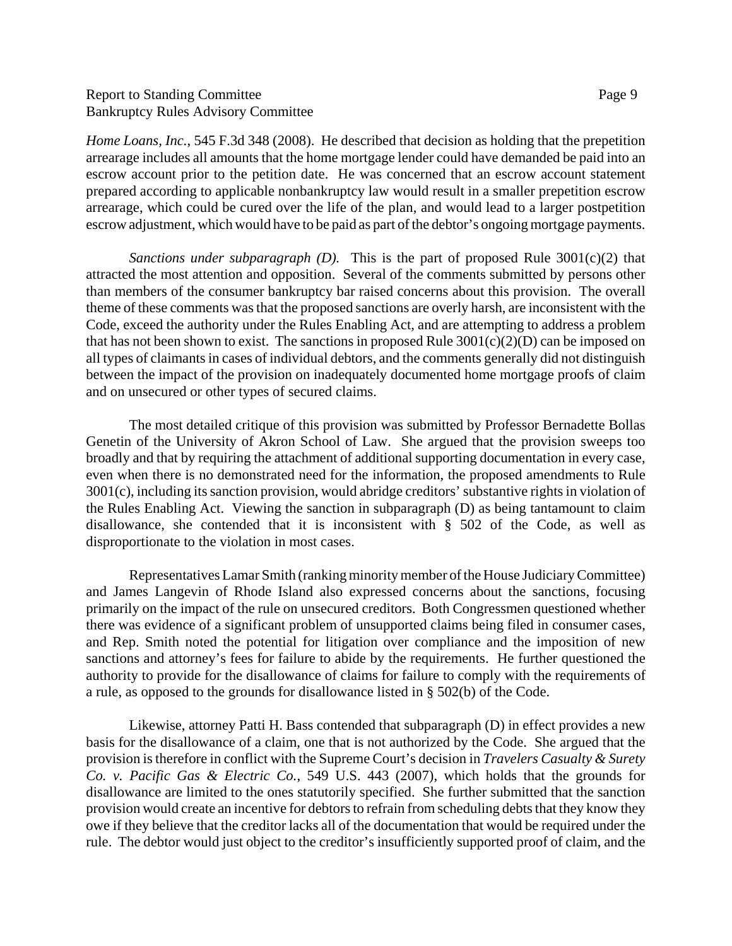## Report to Standing Committee Page 9 Bankruptcy Rules Advisory Committee

*Home Loans, Inc.*, 545 F.3d 348 (2008). He described that decision as holding that the prepetition arrearage includes all amounts that the home mortgage lender could have demanded be paid into an escrow account prior to the petition date. He was concerned that an escrow account statement prepared according to applicable nonbankruptcy law would result in a smaller prepetition escrow arrearage, which could be cured over the life of the plan, and would lead to a larger postpetition escrow adjustment, which would have to be paid as part of the debtor's ongoing mortgage payments.

*Sanctions under subparagraph (D).* This is the part of proposed Rule 3001(c)(2) that attracted the most attention and opposition. Several of the comments submitted by persons other than members of the consumer bankruptcy bar raised concerns about this provision. The overall theme of these comments was that the proposed sanctions are overly harsh, are inconsistent with the Code, exceed the authority under the Rules Enabling Act, and are attempting to address a problem that has not been shown to exist. The sanctions in proposed Rule  $3001(c)(2)(D)$  can be imposed on all types of claimants in cases of individual debtors, and the comments generally did not distinguish between the impact of the provision on inadequately documented home mortgage proofs of claim and on unsecured or other types of secured claims.

The most detailed critique of this provision was submitted by Professor Bernadette Bollas Genetin of the University of Akron School of Law. She argued that the provision sweeps too broadly and that by requiring the attachment of additional supporting documentation in every case, even when there is no demonstrated need for the information, the proposed amendments to Rule 3001(c), including its sanction provision, would abridge creditors' substantive rights in violation of the Rules Enabling Act. Viewing the sanction in subparagraph (D) as being tantamount to claim disallowance, she contended that it is inconsistent with § 502 of the Code, as well as disproportionate to the violation in most cases.

Representatives Lamar Smith (ranking minority member of the House Judiciary Committee) and James Langevin of Rhode Island also expressed concerns about the sanctions, focusing primarily on the impact of the rule on unsecured creditors. Both Congressmen questioned whether there was evidence of a significant problem of unsupported claims being filed in consumer cases, and Rep. Smith noted the potential for litigation over compliance and the imposition of new sanctions and attorney's fees for failure to abide by the requirements. He further questioned the authority to provide for the disallowance of claims for failure to comply with the requirements of a rule, as opposed to the grounds for disallowance listed in § 502(b) of the Code.

Likewise, attorney Patti H. Bass contended that subparagraph (D) in effect provides a new basis for the disallowance of a claim, one that is not authorized by the Code. She argued that the provision is therefore in conflict with the Supreme Court's decision in *Travelers Casualty & Surety Co. v. Pacific Gas & Electric Co.*, 549 U.S. 443 (2007), which holds that the grounds for disallowance are limited to the ones statutorily specified. She further submitted that the sanction provision would create an incentive for debtors to refrain from scheduling debts that they know they owe if they believe that the creditor lacks all of the documentation that would be required under the rule. The debtor would just object to the creditor's insufficiently supported proof of claim, and the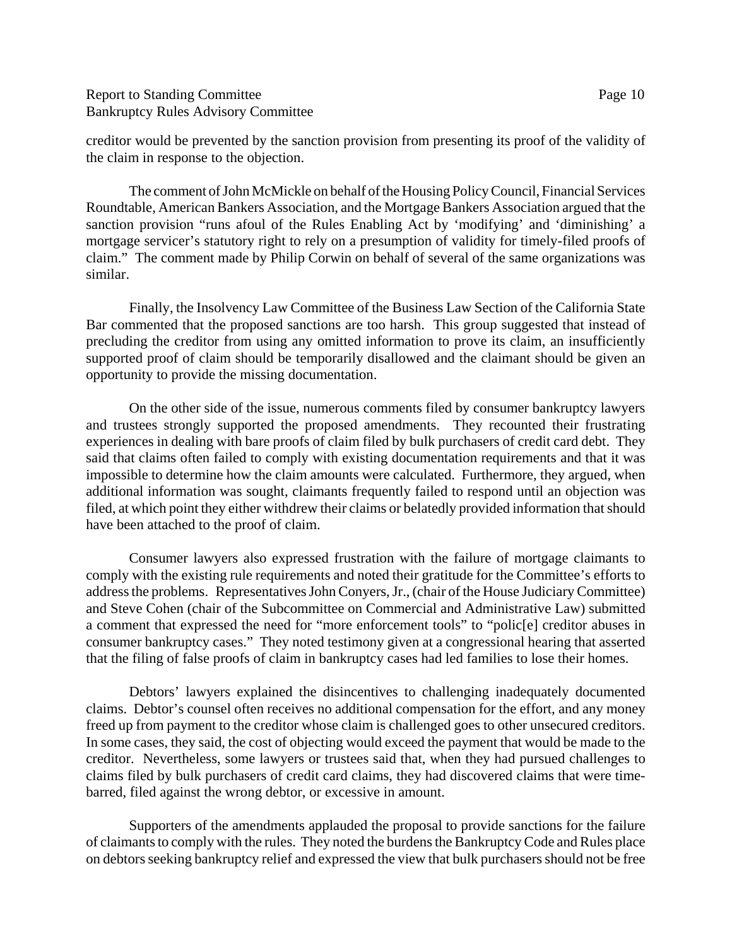## Report to Standing Committee Page 10 Bankruptcy Rules Advisory Committee

creditor would be prevented by the sanction provision from presenting its proof of the validity of the claim in response to the objection.

The comment of John McMickle on behalf of the Housing Policy Council, Financial Services Roundtable, American Bankers Association, and the Mortgage Bankers Association argued that the sanction provision "runs afoul of the Rules Enabling Act by 'modifying' and 'diminishing' a mortgage servicer's statutory right to rely on a presumption of validity for timely-filed proofs of claim." The comment made by Philip Corwin on behalf of several of the same organizations was similar.

Finally, the Insolvency Law Committee of the Business Law Section of the California State Bar commented that the proposed sanctions are too harsh. This group suggested that instead of precluding the creditor from using any omitted information to prove its claim, an insufficiently supported proof of claim should be temporarily disallowed and the claimant should be given an opportunity to provide the missing documentation.

On the other side of the issue, numerous comments filed by consumer bankruptcy lawyers and trustees strongly supported the proposed amendments. They recounted their frustrating experiences in dealing with bare proofs of claim filed by bulk purchasers of credit card debt. They said that claims often failed to comply with existing documentation requirements and that it was impossible to determine how the claim amounts were calculated. Furthermore, they argued, when additional information was sought, claimants frequently failed to respond until an objection was filed, at which point they either withdrew their claims or belatedly provided information that should have been attached to the proof of claim.

Consumer lawyers also expressed frustration with the failure of mortgage claimants to comply with the existing rule requirements and noted their gratitude for the Committee's efforts to address the problems. Representatives John Conyers, Jr., (chair of the House Judiciary Committee) and Steve Cohen (chair of the Subcommittee on Commercial and Administrative Law) submitted a comment that expressed the need for "more enforcement tools" to "polic[e] creditor abuses in consumer bankruptcy cases." They noted testimony given at a congressional hearing that asserted that the filing of false proofs of claim in bankruptcy cases had led families to lose their homes.

Debtors' lawyers explained the disincentives to challenging inadequately documented claims. Debtor's counsel often receives no additional compensation for the effort, and any money freed up from payment to the creditor whose claim is challenged goes to other unsecured creditors. In some cases, they said, the cost of objecting would exceed the payment that would be made to the creditor. Nevertheless, some lawyers or trustees said that, when they had pursued challenges to claims filed by bulk purchasers of credit card claims, they had discovered claims that were timebarred, filed against the wrong debtor, or excessive in amount.

Supporters of the amendments applauded the proposal to provide sanctions for the failure of claimants to comply with the rules. They noted the burdens the Bankruptcy Code and Rules place on debtors seeking bankruptcy relief and expressed the view that bulk purchasers should not be free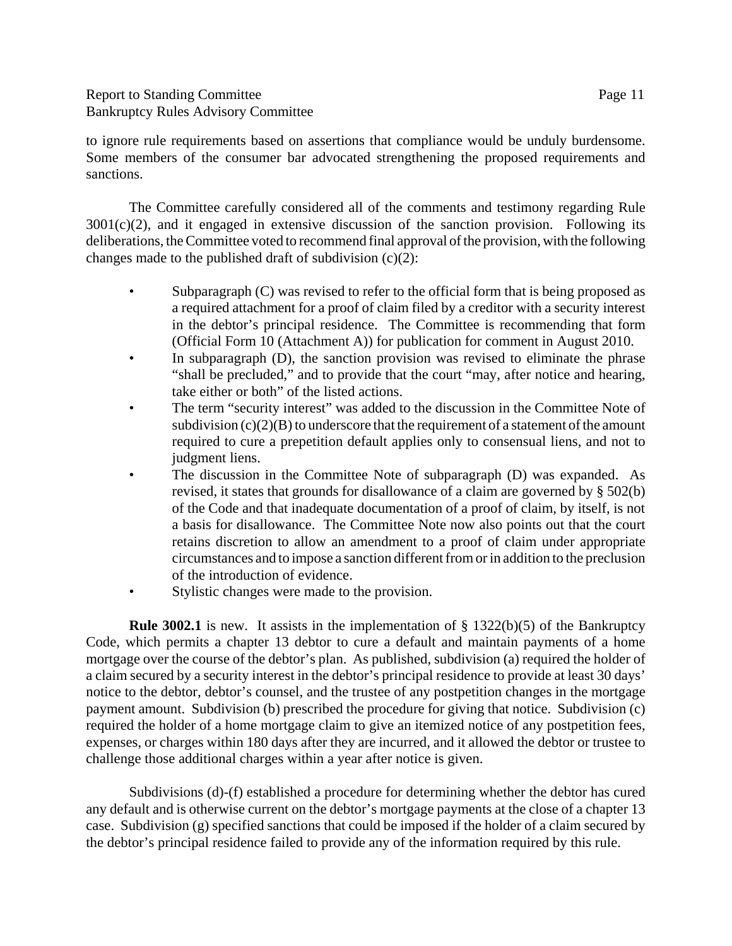# Report to Standing Committee Page 11 Bankruptcy Rules Advisory Committee

to ignore rule requirements based on assertions that compliance would be unduly burdensome. Some members of the consumer bar advocated strengthening the proposed requirements and sanctions.

The Committee carefully considered all of the comments and testimony regarding Rule  $3001(c)(2)$ , and it engaged in extensive discussion of the sanction provision. Following its deliberations, the Committee voted to recommend final approval of the provision, with the following changes made to the published draft of subdivision  $(c)(2)$ :

- Subparagraph (C) was revised to refer to the official form that is being proposed as a required attachment for a proof of claim filed by a creditor with a security interest in the debtor's principal residence. The Committee is recommending that form (Official Form 10 (Attachment A)) for publication for comment in August 2010.
- In subparagraph (D), the sanction provision was revised to eliminate the phrase "shall be precluded," and to provide that the court "may, after notice and hearing, take either or both" of the listed actions.
- The term "security interest" was added to the discussion in the Committee Note of subdivision  $(c)(2)(B)$  to underscore that the requirement of a statement of the amount required to cure a prepetition default applies only to consensual liens, and not to judgment liens.
- The discussion in the Committee Note of subparagraph (D) was expanded. As revised, it states that grounds for disallowance of a claim are governed by § 502(b) of the Code and that inadequate documentation of a proof of claim, by itself, is not a basis for disallowance. The Committee Note now also points out that the court retains discretion to allow an amendment to a proof of claim under appropriate circumstances and to impose a sanction different from or in addition to the preclusion of the introduction of evidence.
- Stylistic changes were made to the provision.

**Rule 3002.1** is new. It assists in the implementation of § 1322(b)(5) of the Bankruptcy Code, which permits a chapter 13 debtor to cure a default and maintain payments of a home mortgage over the course of the debtor's plan. As published, subdivision (a) required the holder of a claim secured by a security interest in the debtor's principal residence to provide at least 30 days' notice to the debtor, debtor's counsel, and the trustee of any postpetition changes in the mortgage payment amount. Subdivision (b) prescribed the procedure for giving that notice. Subdivision (c) required the holder of a home mortgage claim to give an itemized notice of any postpetition fees, expenses, or charges within 180 days after they are incurred, and it allowed the debtor or trustee to challenge those additional charges within a year after notice is given.

Subdivisions (d)-(f) established a procedure for determining whether the debtor has cured any default and is otherwise current on the debtor's mortgage payments at the close of a chapter 13 case. Subdivision (g) specified sanctions that could be imposed if the holder of a claim secured by the debtor's principal residence failed to provide any of the information required by this rule.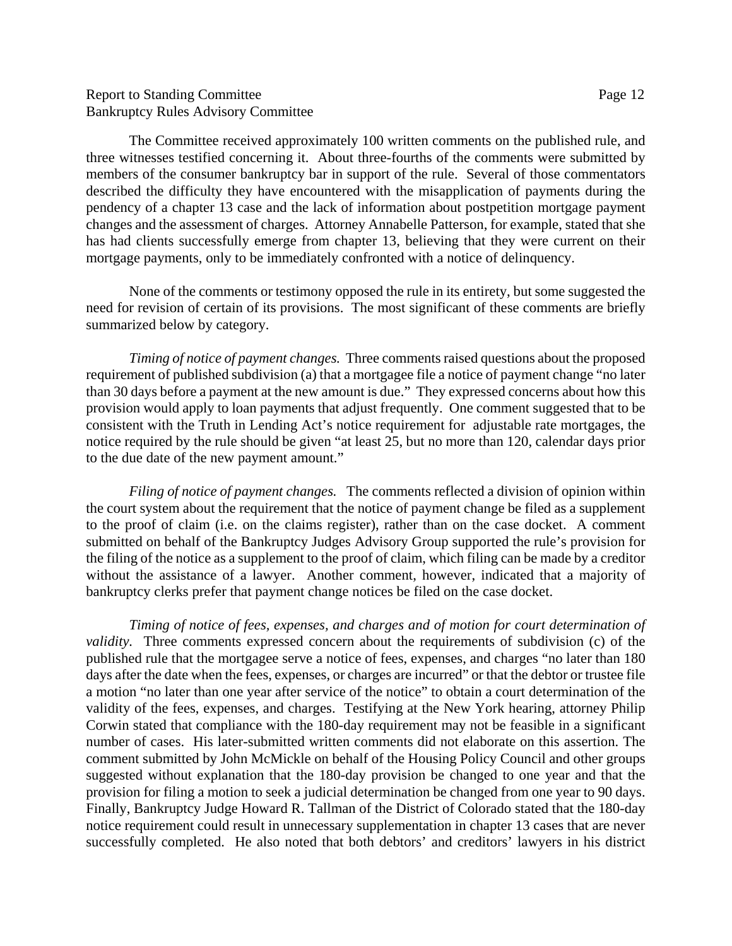# Report to Standing Committee Page 12 Bankruptcy Rules Advisory Committee

The Committee received approximately 100 written comments on the published rule, and three witnesses testified concerning it. About three-fourths of the comments were submitted by members of the consumer bankruptcy bar in support of the rule. Several of those commentators described the difficulty they have encountered with the misapplication of payments during the pendency of a chapter 13 case and the lack of information about postpetition mortgage payment changes and the assessment of charges. Attorney Annabelle Patterson, for example, stated that she has had clients successfully emerge from chapter 13, believing that they were current on their mortgage payments, only to be immediately confronted with a notice of delinquency.

None of the comments or testimony opposed the rule in its entirety, but some suggested the need for revision of certain of its provisions. The most significant of these comments are briefly summarized below by category.

*Timing of notice of payment changes.* Three comments raised questions about the proposed requirement of published subdivision (a) that a mortgagee file a notice of payment change "no later than 30 days before a payment at the new amount is due." They expressed concerns about how this provision would apply to loan payments that adjust frequently. One comment suggested that to be consistent with the Truth in Lending Act's notice requirement for adjustable rate mortgages, the notice required by the rule should be given "at least 25, but no more than 120, calendar days prior to the due date of the new payment amount."

*Filing of notice of payment changes.* The comments reflected a division of opinion within the court system about the requirement that the notice of payment change be filed as a supplement to the proof of claim (i.e. on the claims register), rather than on the case docket. A comment submitted on behalf of the Bankruptcy Judges Advisory Group supported the rule's provision for the filing of the notice as a supplement to the proof of claim, which filing can be made by a creditor without the assistance of a lawyer. Another comment, however, indicated that a majority of bankruptcy clerks prefer that payment change notices be filed on the case docket.

*Timing of notice of fees, expenses, and charges and of motion for court determination of validity.* Three comments expressed concern about the requirements of subdivision (c) of the published rule that the mortgagee serve a notice of fees, expenses, and charges "no later than 180 days after the date when the fees, expenses, or charges are incurred" or that the debtor or trustee file a motion "no later than one year after service of the notice" to obtain a court determination of the validity of the fees, expenses, and charges. Testifying at the New York hearing, attorney Philip Corwin stated that compliance with the 180-day requirement may not be feasible in a significant number of cases. His later-submitted written comments did not elaborate on this assertion. The comment submitted by John McMickle on behalf of the Housing Policy Council and other groups suggested without explanation that the 180-day provision be changed to one year and that the provision for filing a motion to seek a judicial determination be changed from one year to 90 days. Finally, Bankruptcy Judge Howard R. Tallman of the District of Colorado stated that the 180-day notice requirement could result in unnecessary supplementation in chapter 13 cases that are never successfully completed. He also noted that both debtors' and creditors' lawyers in his district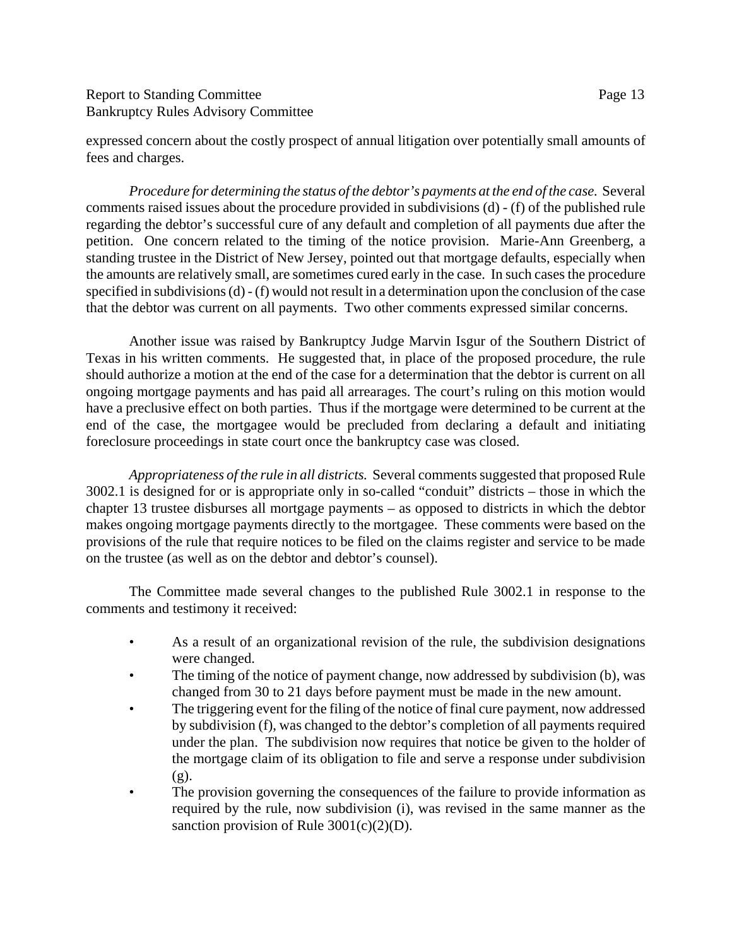## Report to Standing Committee Page 13 Bankruptcy Rules Advisory Committee

*Procedure for determining the status of the debtor's payments at the end of the case.* Several comments raised issues about the procedure provided in subdivisions (d) - (f) of the published rule regarding the debtor's successful cure of any default and completion of all payments due after the petition. One concern related to the timing of the notice provision. Marie-Ann Greenberg, a standing trustee in the District of New Jersey, pointed out that mortgage defaults, especially when the amounts are relatively small, are sometimes cured early in the case. In such cases the procedure specified in subdivisions (d) - (f) would not result in a determination upon the conclusion of the case that the debtor was current on all payments. Two other comments expressed similar concerns.

Another issue was raised by Bankruptcy Judge Marvin Isgur of the Southern District of Texas in his written comments. He suggested that, in place of the proposed procedure, the rule should authorize a motion at the end of the case for a determination that the debtor is current on all ongoing mortgage payments and has paid all arrearages. The court's ruling on this motion would have a preclusive effect on both parties. Thus if the mortgage were determined to be current at the end of the case, the mortgagee would be precluded from declaring a default and initiating foreclosure proceedings in state court once the bankruptcy case was closed.

*Appropriateness of the rule in all districts.* Several comments suggested that proposed Rule 3002.1 is designed for or is appropriate only in so-called "conduit" districts – those in which the chapter 13 trustee disburses all mortgage payments – as opposed to districts in which the debtor makes ongoing mortgage payments directly to the mortgagee. These comments were based on the provisions of the rule that require notices to be filed on the claims register and service to be made on the trustee (as well as on the debtor and debtor's counsel).

The Committee made several changes to the published Rule 3002.1 in response to the comments and testimony it received:

- As a result of an organizational revision of the rule, the subdivision designations were changed.
- The timing of the notice of payment change, now addressed by subdivision (b), was changed from 30 to 21 days before payment must be made in the new amount.
- The triggering event for the filing of the notice of final cure payment, now addressed by subdivision (f), was changed to the debtor's completion of all payments required under the plan. The subdivision now requires that notice be given to the holder of the mortgage claim of its obligation to file and serve a response under subdivision (g).
- The provision governing the consequences of the failure to provide information as required by the rule, now subdivision (i), was revised in the same manner as the sanction provision of Rule  $3001(c)(2)(D)$ .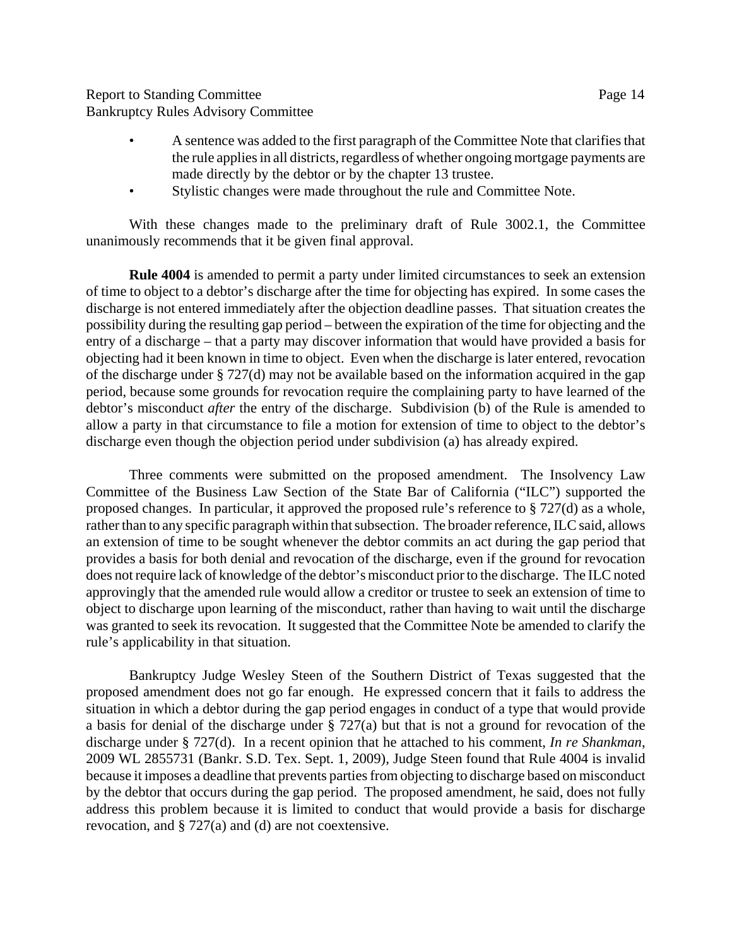# Report to Standing Committee Page 14 Bankruptcy Rules Advisory Committee

- A sentence was added to the first paragraph of the Committee Note that clarifies that the rule applies in all districts, regardless of whether ongoing mortgage payments are made directly by the debtor or by the chapter 13 trustee.
- Stylistic changes were made throughout the rule and Committee Note.

With these changes made to the preliminary draft of Rule 3002.1, the Committee unanimously recommends that it be given final approval.

**Rule 4004** is amended to permit a party under limited circumstances to seek an extension of time to object to a debtor's discharge after the time for objecting has expired. In some cases the discharge is not entered immediately after the objection deadline passes. That situation creates the possibility during the resulting gap period – between the expiration of the time for objecting and the entry of a discharge – that a party may discover information that would have provided a basis for objecting had it been known in time to object. Even when the discharge is later entered, revocation of the discharge under § 727(d) may not be available based on the information acquired in the gap period, because some grounds for revocation require the complaining party to have learned of the debtor's misconduct *after* the entry of the discharge. Subdivision (b) of the Rule is amended to allow a party in that circumstance to file a motion for extension of time to object to the debtor's discharge even though the objection period under subdivision (a) has already expired.

Three comments were submitted on the proposed amendment. The Insolvency Law Committee of the Business Law Section of the State Bar of California ("ILC") supported the proposed changes. In particular, it approved the proposed rule's reference to § 727(d) as a whole, rather than to any specific paragraph within that subsection. The broader reference, ILC said, allows an extension of time to be sought whenever the debtor commits an act during the gap period that provides a basis for both denial and revocation of the discharge, even if the ground for revocation does not require lack of knowledge of the debtor's misconduct prior to the discharge. The ILC noted approvingly that the amended rule would allow a creditor or trustee to seek an extension of time to object to discharge upon learning of the misconduct, rather than having to wait until the discharge was granted to seek its revocation. It suggested that the Committee Note be amended to clarify the rule's applicability in that situation.

Bankruptcy Judge Wesley Steen of the Southern District of Texas suggested that the proposed amendment does not go far enough. He expressed concern that it fails to address the situation in which a debtor during the gap period engages in conduct of a type that would provide a basis for denial of the discharge under § 727(a) but that is not a ground for revocation of the discharge under § 727(d). In a recent opinion that he attached to his comment, *In re Shankman*, 2009 WL 2855731 (Bankr. S.D. Tex. Sept. 1, 2009), Judge Steen found that Rule 4004 is invalid because it imposes a deadline that prevents parties from objecting to discharge based on misconduct by the debtor that occurs during the gap period. The proposed amendment, he said, does not fully address this problem because it is limited to conduct that would provide a basis for discharge revocation, and § 727(a) and (d) are not coextensive.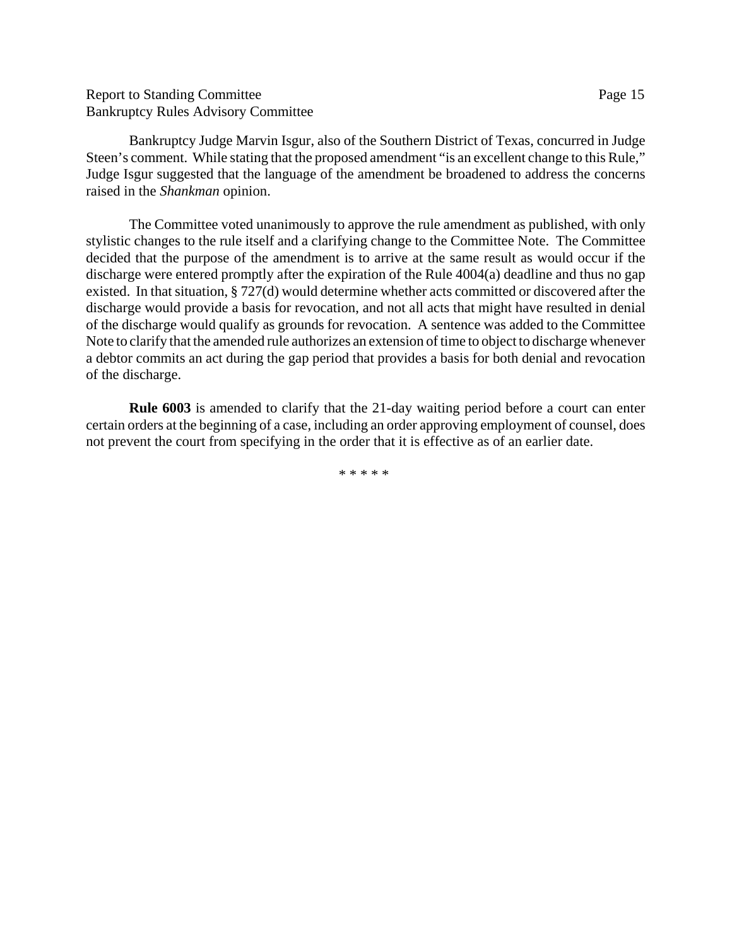## Report to Standing Committee Page 15 Bankruptcy Rules Advisory Committee

Bankruptcy Judge Marvin Isgur, also of the Southern District of Texas, concurred in Judge Steen's comment. While stating that the proposed amendment "is an excellent change to this Rule," Judge Isgur suggested that the language of the amendment be broadened to address the concerns raised in the *Shankman* opinion.

The Committee voted unanimously to approve the rule amendment as published, with only stylistic changes to the rule itself and a clarifying change to the Committee Note. The Committee decided that the purpose of the amendment is to arrive at the same result as would occur if the discharge were entered promptly after the expiration of the Rule 4004(a) deadline and thus no gap existed. In that situation, § 727(d) would determine whether acts committed or discovered after the discharge would provide a basis for revocation, and not all acts that might have resulted in denial of the discharge would qualify as grounds for revocation. A sentence was added to the Committee Note to clarify that the amended rule authorizes an extension of time to object to discharge whenever a debtor commits an act during the gap period that provides a basis for both denial and revocation of the discharge.

**Rule 6003** is amended to clarify that the 21-day waiting period before a court can enter certain orders at the beginning of a case, including an order approving employment of counsel, does not prevent the court from specifying in the order that it is effective as of an earlier date.

\* \* \* \* \*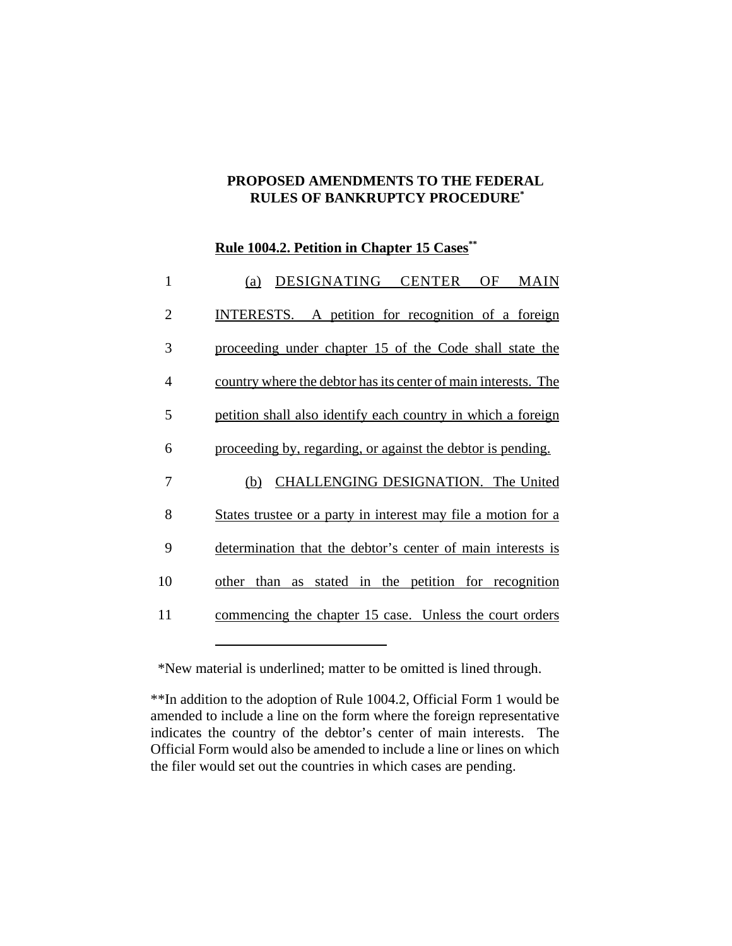# **PROPOSED AMENDMENTS TO THE FEDERAL RULES OF BANKRUPTCY PROCEDURE\***

# **Rule 1004.2. Petition in Chapter 15 Cases\*\***

| 1  | DESIGNATING CENTER<br>OF<br>(a)<br><b>MAIN</b>                 |
|----|----------------------------------------------------------------|
| 2  | <b>INTERESTS.</b> A petition for recognition of a foreign      |
| 3  | proceeding under chapter 15 of the Code shall state the        |
| 4  | country where the debtor has its center of main interests. The |
| 5  | petition shall also identify each country in which a foreign   |
| 6  | proceeding by, regarding, or against the debtor is pending.    |
| 7  | (b) CHALLENGING DESIGNATION. The United                        |
| 8  | States trustee or a party in interest may file a motion for a  |
| 9  | determination that the debtor's center of main interests is    |
| 10 | other than as stated in the petition for recognition           |
| 11 | commencing the chapter 15 case. Unless the court orders        |
|    |                                                                |

\*New material is underlined; matter to be omitted is lined through.

<sup>\*\*</sup>In addition to the adoption of Rule 1004.2, Official Form 1 would be amended to include a line on the form where the foreign representative indicates the country of the debtor's center of main interests. The Official Form would also be amended to include a line or lines on which the filer would set out the countries in which cases are pending.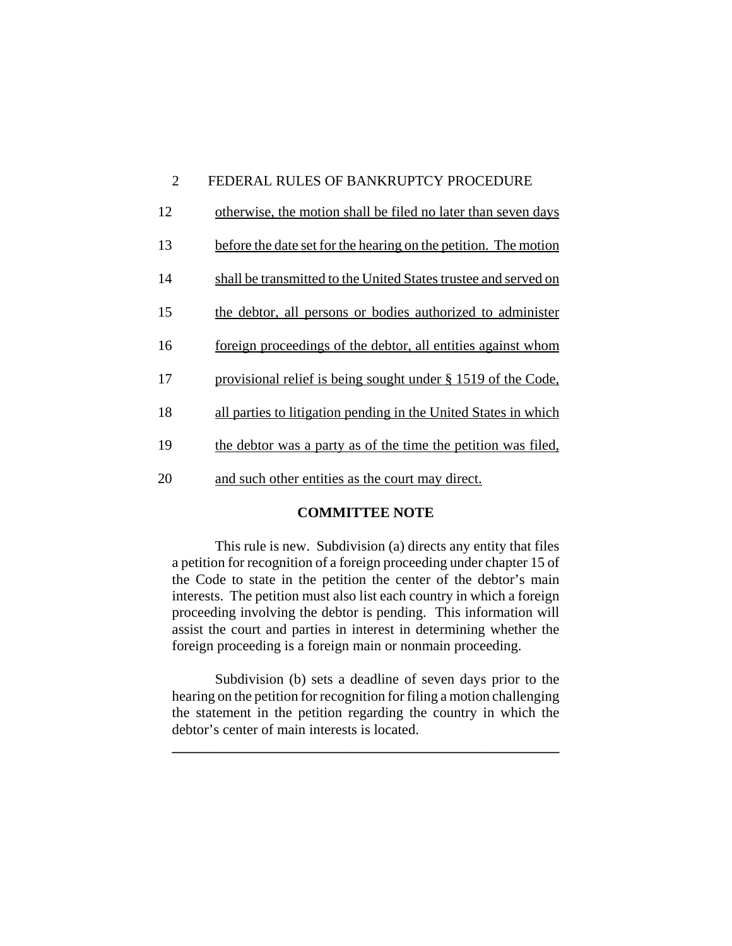- 12 otherwise, the motion shall be filed no later than seven days
- 13 before the date set for the hearing on the petition. The motion
- 14 shall be transmitted to the United States trustee and served on
- 15 the debtor, all persons or bodies authorized to administer
- 16 foreign proceedings of the debtor, all entities against whom
- 17 provisional relief is being sought under § 1519 of the Code,
- 18 all parties to litigation pending in the United States in which
- 19 the debtor was a party as of the time the petition was filed,
- 20 and such other entities as the court may direct.

## **COMMITTEE NOTE**

This rule is new. Subdivision (a) directs any entity that files a petition for recognition of a foreign proceeding under chapter 15 of the Code to state in the petition the center of the debtor's main interests. The petition must also list each country in which a foreign proceeding involving the debtor is pending. This information will assist the court and parties in interest in determining whether the foreign proceeding is a foreign main or nonmain proceeding.

Subdivision (b) sets a deadline of seven days prior to the hearing on the petition for recognition for filing a motion challenging the statement in the petition regarding the country in which the debtor's center of main interests is located.

**\_\_\_\_\_\_\_\_\_\_\_\_\_\_\_\_\_\_\_\_\_\_\_\_\_\_\_\_\_\_\_\_\_\_\_\_\_\_\_\_\_\_\_\_\_\_\_\_\_\_\_\_\_\_**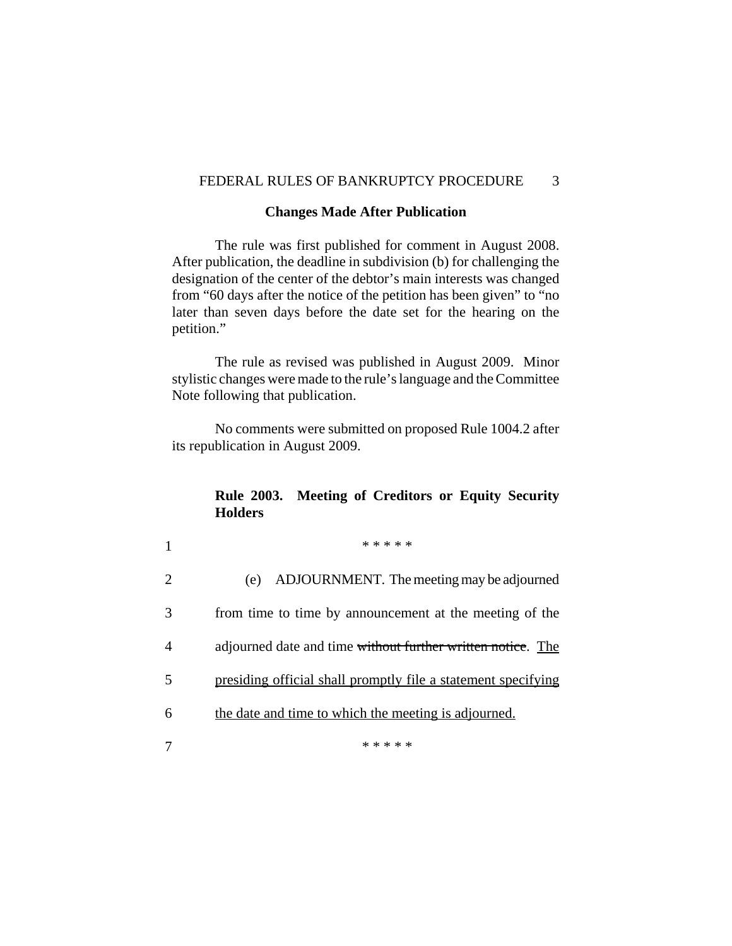#### **Changes Made After Publication**

The rule was first published for comment in August 2008. After publication, the deadline in subdivision (b) for challenging the designation of the center of the debtor's main interests was changed from "60 days after the notice of the petition has been given" to "no later than seven days before the date set for the hearing on the petition."

The rule as revised was published in August 2009. Minor stylistic changes were made to the rule's language and the Committee Note following that publication.

No comments were submitted on proposed Rule 1004.2 after its republication in August 2009.

# **Rule 2003. Meeting of Creditors or Equity Security Holders**

|                             | * * * * *                                                     |
|-----------------------------|---------------------------------------------------------------|
| $\mathcal{D}_{\mathcal{L}}$ | ADJOURNMENT. The meeting may be adjourned<br>(e)              |
| 3                           | from time to time by announcement at the meeting of the       |
| $\overline{4}$              | adjourned date and time without further written notice. The   |
| 5                           | presiding official shall promptly file a statement specifying |
| 6                           | the date and time to which the meeting is adjourned.          |
|                             | * * * * *                                                     |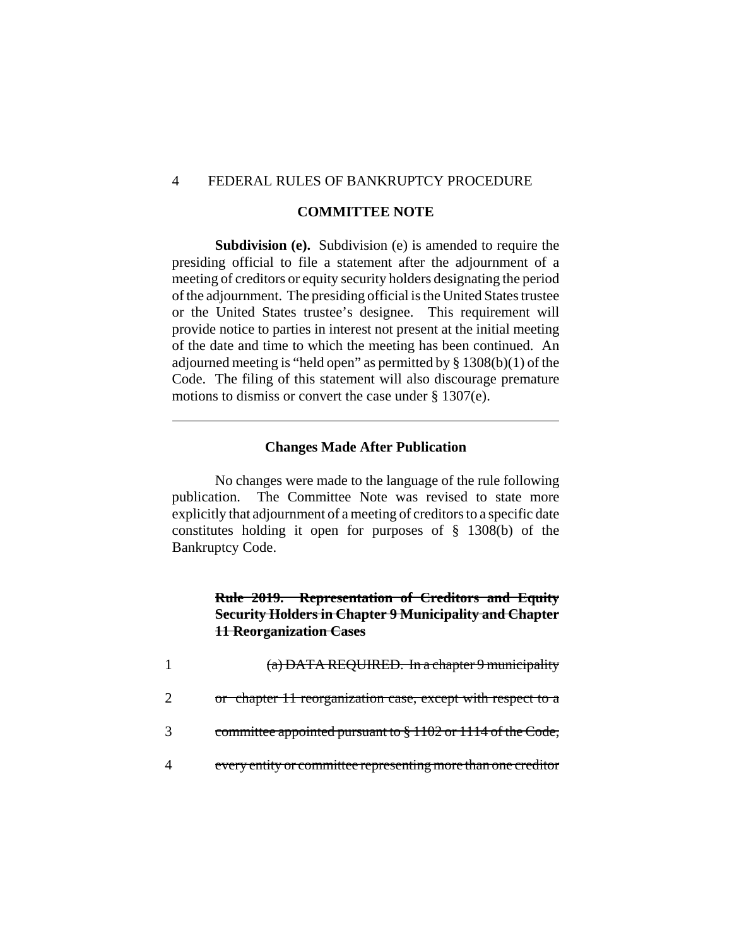#### **COMMITTEE NOTE**

**Subdivision (e).** Subdivision (e) is amended to require the presiding official to file a statement after the adjournment of a meeting of creditors or equity security holders designating the period of the adjournment. The presiding official is the United States trustee or the United States trustee's designee. This requirement will provide notice to parties in interest not present at the initial meeting of the date and time to which the meeting has been continued. An adjourned meeting is "held open" as permitted by § 1308(b)(1) of the Code. The filing of this statement will also discourage premature motions to dismiss or convert the case under § 1307(e).

## **Changes Made After Publication**

No changes were made to the language of the rule following publication. The Committee Note was revised to state more explicitly that adjournment of a meeting of creditors to a specific date constitutes holding it open for purposes of § 1308(b) of the Bankruptcy Code.

## **Rule 2019. Representation of Creditors and Equity Security Holders in Chapter 9 Municipality and Chapter 11 Reorganization Cases**

|   | (a) DATA REQUIRED. In a chapter 9 municipality                |
|---|---------------------------------------------------------------|
|   | or chapter 11 reorganization case, except with respect to a   |
|   | committee appointed pursuant to § 1102 or 1114 of the Code,   |
| 4 | every entity or committee representing more than one creditor |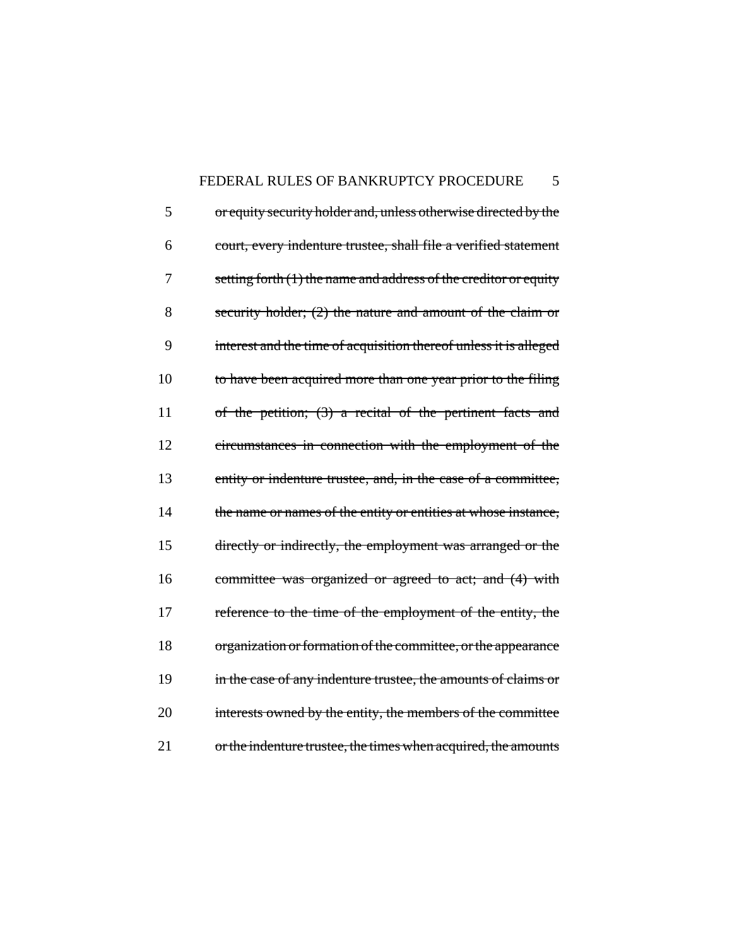| 5  | or equity security holder and, unless otherwise directed by the   |
|----|-------------------------------------------------------------------|
| 6  | court, every indenture trustee, shall file a verified statement   |
| 7  | setting forth (1) the name and address of the creditor or equity  |
| 8  | security holder; (2) the nature and amount of the claim or        |
| 9  | interest and the time of acquisition thereof unless it is alleged |
| 10 | to have been acquired more than one year prior to the filing      |
| 11 | of the petition; (3) a recital of the pertinent facts and         |
| 12 | circumstances in connection with the employment of the            |
| 13 | entity or indenture trustee, and, in the case of a committee,     |
| 14 | the name or names of the entity or entities at whose instance,    |
| 15 | directly or indirectly, the employment was arranged or the        |
| 16 | committee was organized or agreed to act; and (4) with            |
| 17 | reference to the time of the employment of the entity, the        |
| 18 | organization or formation of the committee, or the appearance     |
| 19 | in the case of any indenture trustee, the amounts of claims or    |
| 20 | interests owned by the entity, the members of the committee       |
| 21 | or the indenture trustee, the times when acquired, the amounts    |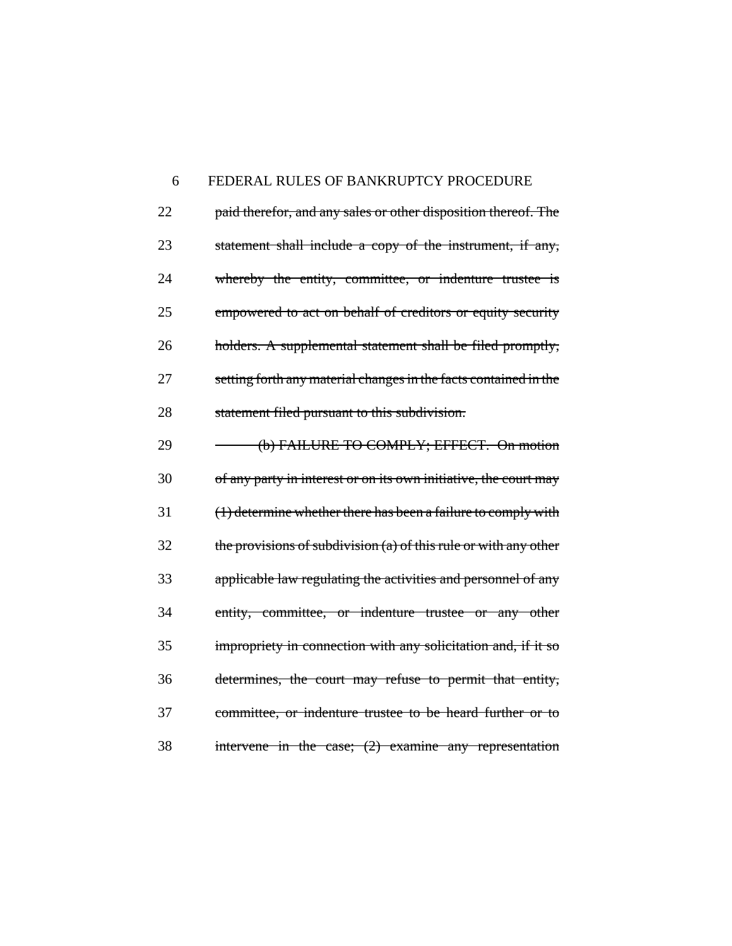| 6  | FEDERAL RULES OF BANKRUPTCY PROCEDURE                              |
|----|--------------------------------------------------------------------|
| 22 | paid therefor, and any sales or other disposition thereof. The     |
| 23 | statement shall include a copy of the instrument, if any,          |
| 24 | whereby the entity, committee, or indenture trustee is             |
| 25 | empowered to act on behalf of creditors or equity security         |
| 26 | holders. A supplemental statement shall be filed promptly,         |
| 27 | setting forth any material changes in the facts contained in the   |
| 28 | statement filed pursuant to this subdivision.                      |
| 29 | (b) FAILURE TO COMPLY; EFFECT. On motion                           |
| 30 | of any party in interest or on its own initiative, the court may   |
| 31 | (1) determine whether there has been a failure to comply with      |
| 32 | the provisions of subdivision $(a)$ of this rule or with any other |
| 33 | applicable law regulating the activities and personnel of any      |
| 34 | entity, committee, or indenture trustee or any other               |
| 35 | impropriety in connection with any solicitation and, if it so      |
| 36 | determines, the court may refuse to permit that entity,            |
| 37 | committee, or indenture trustee to be heard further or to          |
| 38 | intervene in the case; $(2)$ examine any representation            |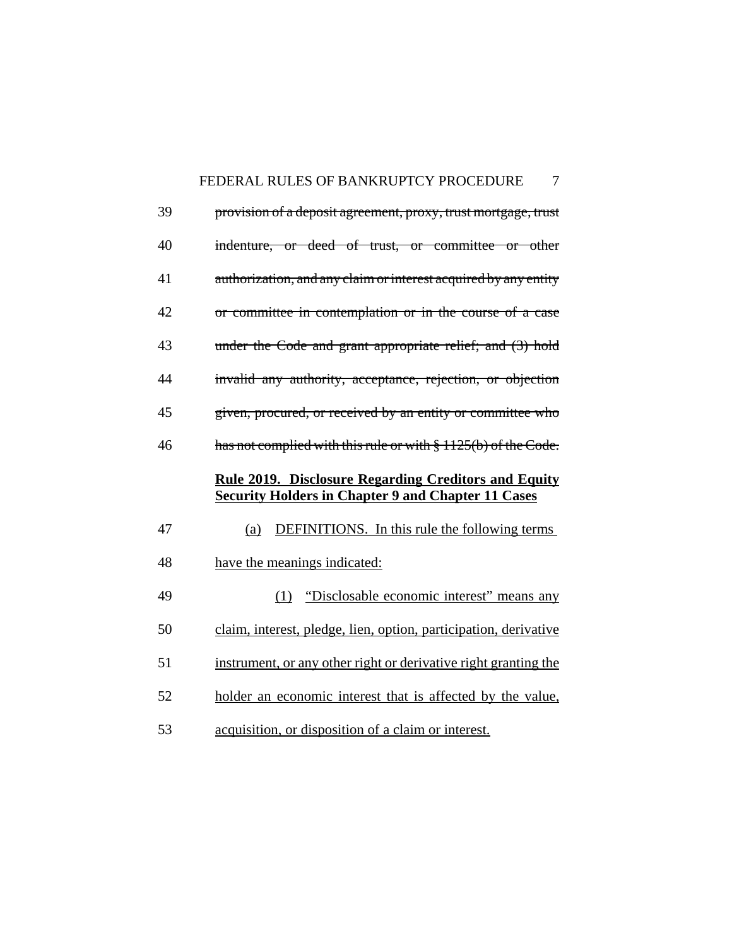| 39 | provision of a deposit agreement, proxy, trust mortgage, trust                                                    |
|----|-------------------------------------------------------------------------------------------------------------------|
| 40 | indenture, or deed of trust, or committee or other                                                                |
| 41 | authorization, and any claim or interest acquired by any entity                                                   |
| 42 | or committee in contemplation or in the course of a case                                                          |
| 43 | under the Code and grant appropriate relief; and (3) hold                                                         |
| 44 | invalid any authority, acceptance, rejection, or objection                                                        |
| 45 | given, procured, or received by an entity or committee who                                                        |
| 46 | has not complied with this rule or with § 1125(b) of the Code.                                                    |
|    | Rule 2019. Disclosure Regarding Creditors and Equity<br><b>Security Holders in Chapter 9 and Chapter 11 Cases</b> |
| 47 | <b>DEFINITIONS.</b> In this rule the following terms<br>(a)                                                       |
| 48 | have the meanings indicated:                                                                                      |
| 49 | (1) "Disclosable economic interest" means any                                                                     |
| 50 | claim, interest, pledge, lien, option, participation, derivative                                                  |
| 51 | instrument, or any other right or derivative right granting the                                                   |
|    |                                                                                                                   |
| 52 | holder an economic interest that is affected by the value,                                                        |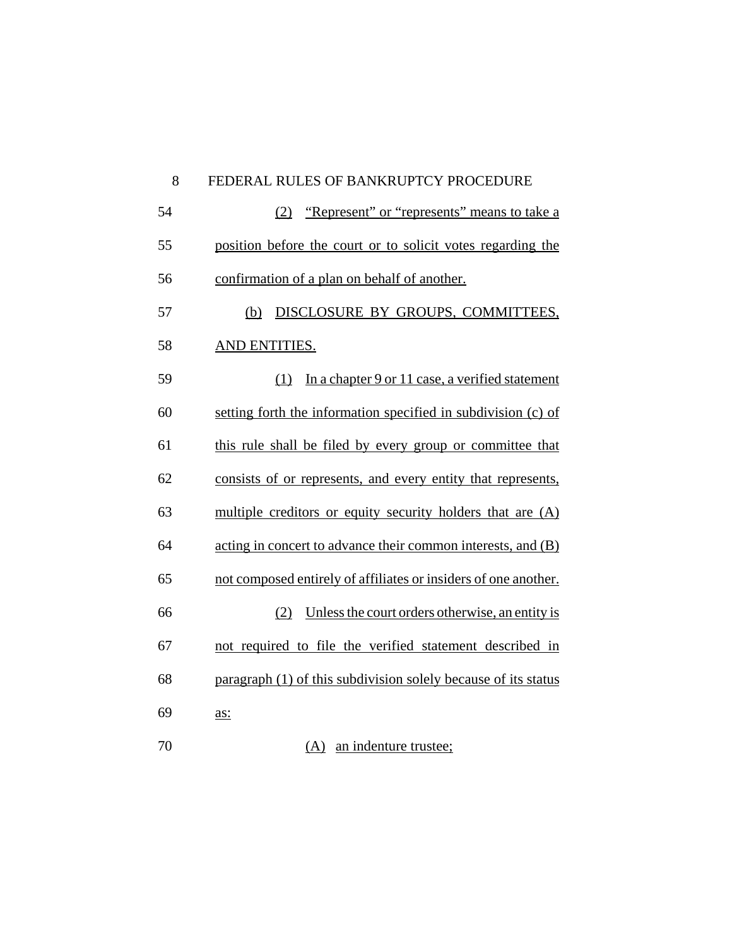| 8  | FEDERAL RULES OF BANKRUPTCY PROCEDURE                           |
|----|-----------------------------------------------------------------|
| 54 | (2) "Represent" or "represents" means to take a                 |
| 55 | position before the court or to solicit votes regarding the     |
| 56 | confirmation of a plan on behalf of another.                    |
| 57 | DISCLOSURE BY GROUPS, COMMITTEES,<br>(b)                        |
| 58 | <b>AND ENTITIES.</b>                                            |
| 59 | In a chapter 9 or 11 case, a verified statement<br>(1)          |
| 60 | setting forth the information specified in subdivision (c) of   |
| 61 | this rule shall be filed by every group or committee that       |
| 62 | consists of or represents, and every entity that represents,    |
| 63 | multiple creditors or equity security holders that are (A)      |
| 64 | acting in concert to advance their common interests, and (B)    |
| 65 | not composed entirely of affiliates or insiders of one another. |
| 66 | Unless the court orders otherwise, an entity is<br>(2)          |
| 67 | not required to file the verified statement described in        |
| 68 | paragraph (1) of this subdivision solely because of its status  |
| 69 | <u>as:</u>                                                      |
| 70 | (A) an indenture trustee;                                       |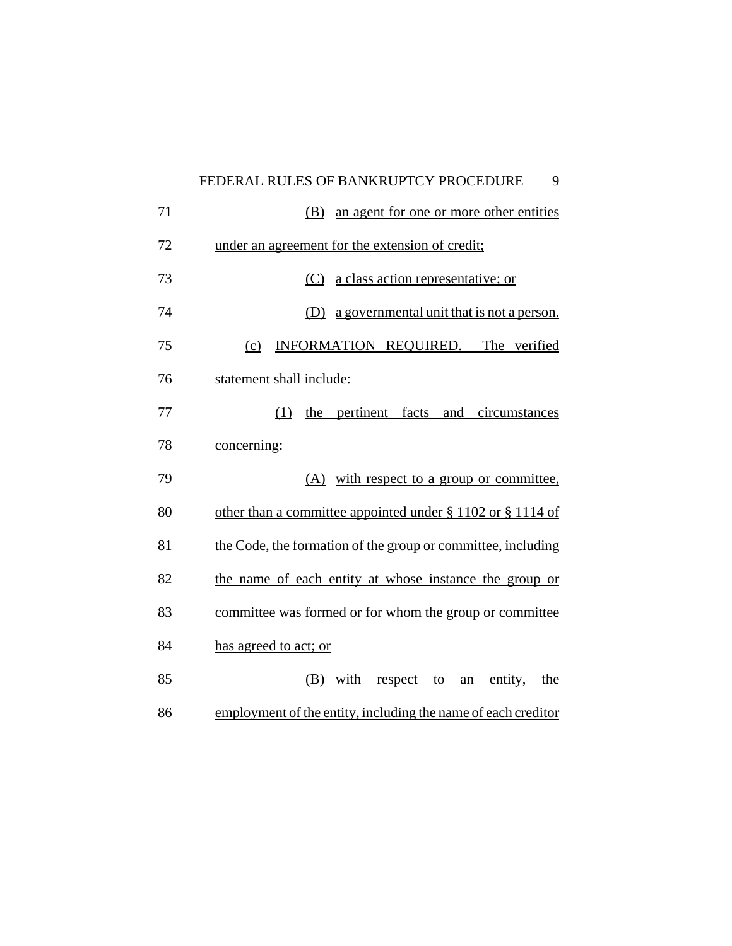| 71 | (B) an agent for one or more other entities                      |
|----|------------------------------------------------------------------|
| 72 | under an agreement for the extension of credit;                  |
| 73 | (C) a class action representative; or                            |
| 74 | (D) a governmental unit that is not a person.                    |
| 75 | INFORMATION REQUIRED. The verified<br>(c)                        |
| 76 | statement shall include:                                         |
| 77 | the pertinent facts and circumstances<br>(1)                     |
| 78 | concerning:                                                      |
| 79 | (A) with respect to a group or committee,                        |
| 80 | other than a committee appointed under $\S 1102$ or $\S 1114$ of |
| 81 | the Code, the formation of the group or committee, including     |
| 82 | the name of each entity at whose instance the group or           |
| 83 | committee was formed or for whom the group or committee          |
| 84 | has agreed to act; or                                            |
| 85 | entity, the<br>(B) with<br>respect to<br>an                      |
|    |                                                                  |

employment of the entity, including the name of each creditor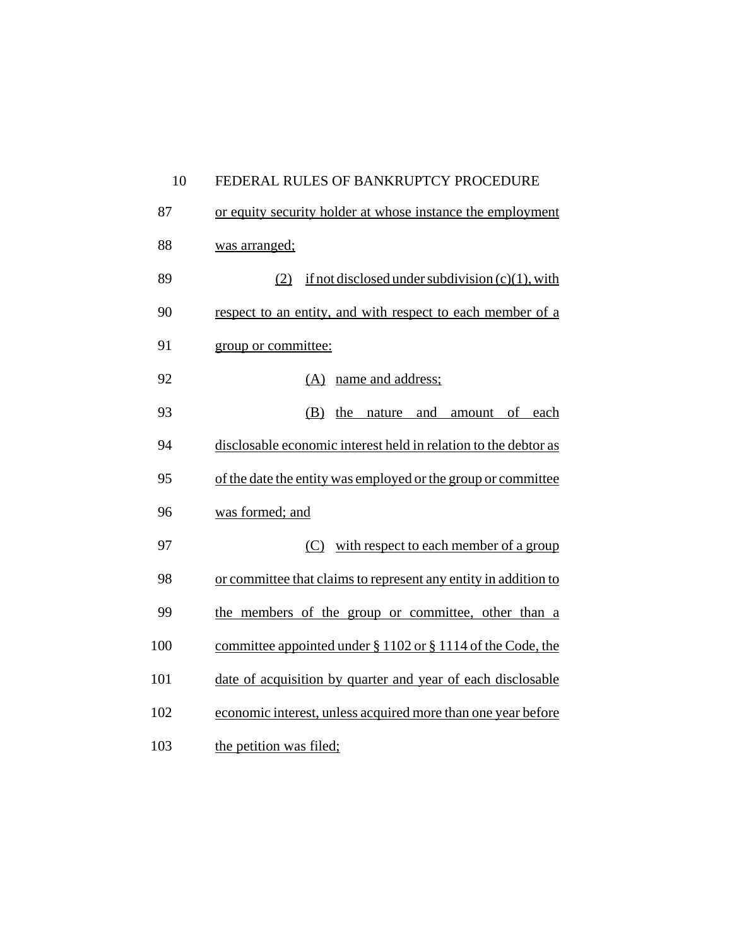| 10  | FEDERAL RULES OF BANKRUPTCY PROCEDURE                             |
|-----|-------------------------------------------------------------------|
| 87  | or equity security holder at whose instance the employment        |
| 88  | was arranged;                                                     |
| 89  | if not disclosed under subdivision $(c)(1)$ , with<br>(2)         |
| 90  | respect to an entity, and with respect to each member of a        |
| 91  | group or committee:                                               |
| 92  | (A) name and address;                                             |
| 93  | (B) the nature<br>and<br>amount of each                           |
| 94  | disclosable economic interest held in relation to the debtor as   |
| 95  | of the date the entity was employed or the group or committee     |
| 96  | was formed; and                                                   |
| 97  | (C) with respect to each member of a group                        |
| 98  | or committee that claims to represent any entity in addition to   |
| 99  | the members of the group or committee, other than a               |
| 100 | committee appointed under $\S 1102$ or $\S 1114$ of the Code, the |
| 101 | date of acquisition by quarter and year of each disclosable       |
| 102 | economic interest, unless acquired more than one year before      |
| 103 | the petition was filed;                                           |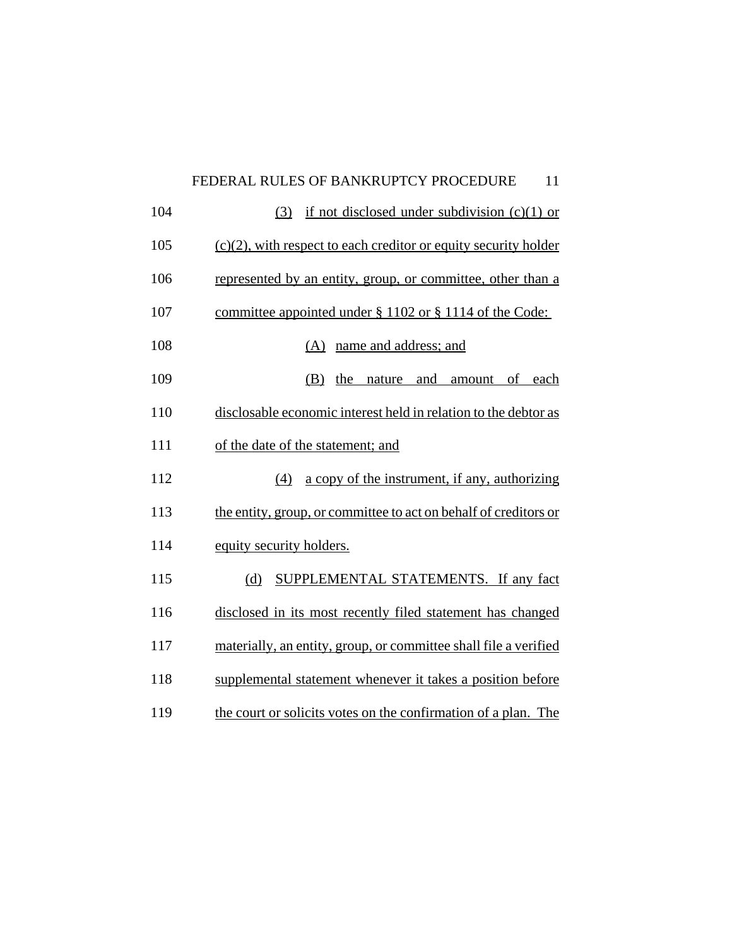| 104 | (3) if not disclosed under subdivision $(c)(1)$ or                 |
|-----|--------------------------------------------------------------------|
| 105 | $(c)(2)$ , with respect to each creditor or equity security holder |
| 106 | represented by an entity, group, or committee, other than a        |
| 107 | committee appointed under § 1102 or § 1114 of the Code:            |
| 108 | name and address; and<br>(A)                                       |
| 109 | the nature and amount of each<br>(B)                               |
| 110 | disclosable economic interest held in relation to the debtor as    |
| 111 | of the date of the statement; and                                  |
| 112 | $(4)$ a copy of the instrument, if any, authorizing                |
| 113 | the entity, group, or committee to act on behalf of creditors or   |
| 114 | equity security holders.                                           |
| 115 | SUPPLEMENTAL STATEMENTS. If any fact<br>(d)                        |
| 116 | disclosed in its most recently filed statement has changed         |
| 117 | materially, an entity, group, or committee shall file a verified   |
| 118 | supplemental statement whenever it takes a position before         |
| 119 | the court or solicits votes on the confirmation of a plan. The     |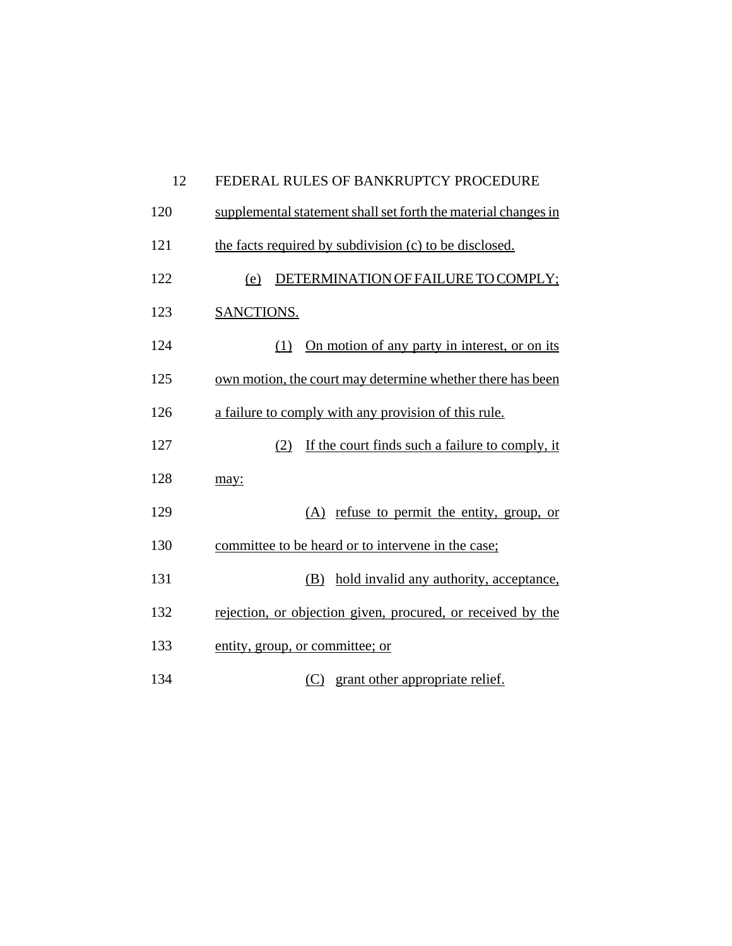| 12  | FEDERAL RULES OF BANKRUPTCY PROCEDURE                          |
|-----|----------------------------------------------------------------|
| 120 | supplemental statement shall set forth the material changes in |
| 121 | the facts required by subdivision (c) to be disclosed.         |
| 122 | DETERMINATION OF FAILURE TO COMPLY;<br>(e)                     |
| 123 | SANCTIONS.                                                     |
| 124 | On motion of any party in interest, or on its<br>(1)           |
| 125 | own motion, the court may determine whether there has been     |
| 126 | a failure to comply with any provision of this rule.           |
| 127 | If the court finds such a failure to comply, it<br>(2)         |
| 128 | may:                                                           |
| 129 | (A) refuse to permit the entity, group, or                     |
| 130 | committee to be heard or to intervene in the case;             |
| 131 | (B) hold invalid any authority, acceptance,                    |
| 132 | rejection, or objection given, procured, or received by the    |
| 133 | entity, group, or committee; or                                |
| 134 | (C) grant other appropriate relief.                            |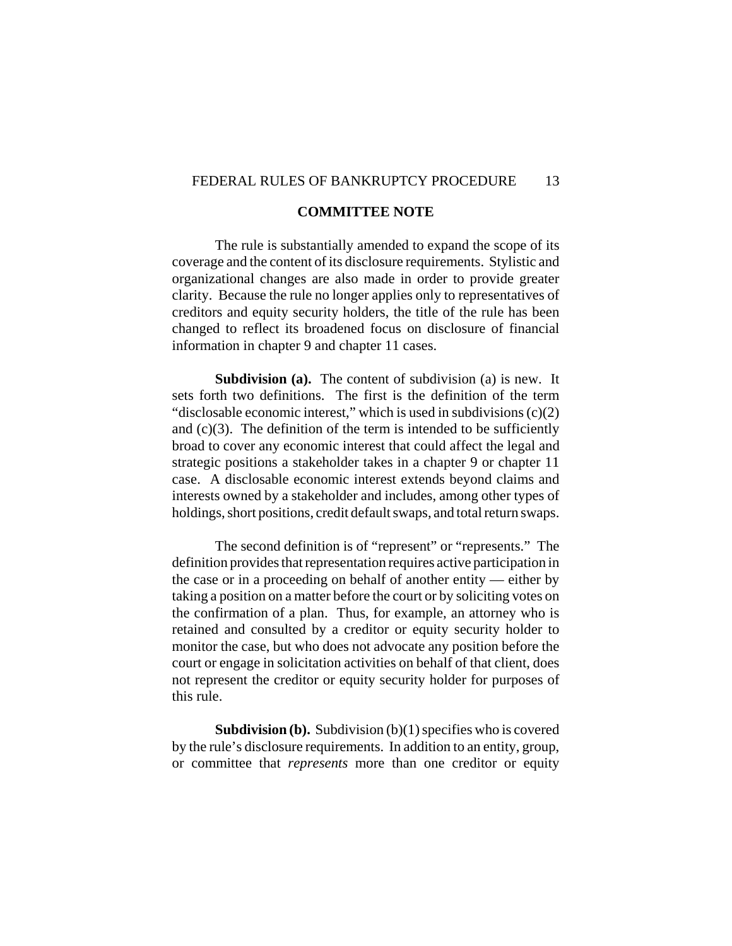#### **COMMITTEE NOTE**

The rule is substantially amended to expand the scope of its coverage and the content of its disclosure requirements. Stylistic and organizational changes are also made in order to provide greater clarity. Because the rule no longer applies only to representatives of creditors and equity security holders, the title of the rule has been changed to reflect its broadened focus on disclosure of financial information in chapter 9 and chapter 11 cases.

**Subdivision (a).** The content of subdivision (a) is new. It sets forth two definitions. The first is the definition of the term "disclosable economic interest," which is used in subdivisions (c)(2) and  $(c)(3)$ . The definition of the term is intended to be sufficiently broad to cover any economic interest that could affect the legal and strategic positions a stakeholder takes in a chapter 9 or chapter 11 case. A disclosable economic interest extends beyond claims and interests owned by a stakeholder and includes, among other types of holdings, short positions, credit default swaps, and total return swaps.

The second definition is of "represent" or "represents." The definition provides that representation requires active participation in the case or in a proceeding on behalf of another entity — either by taking a position on a matter before the court or by soliciting votes on the confirmation of a plan. Thus, for example, an attorney who is retained and consulted by a creditor or equity security holder to monitor the case, but who does not advocate any position before the court or engage in solicitation activities on behalf of that client, does not represent the creditor or equity security holder for purposes of this rule.

**Subdivision (b).** Subdivision (b)(1) specifies who is covered by the rule's disclosure requirements. In addition to an entity, group, or committee that *represents* more than one creditor or equity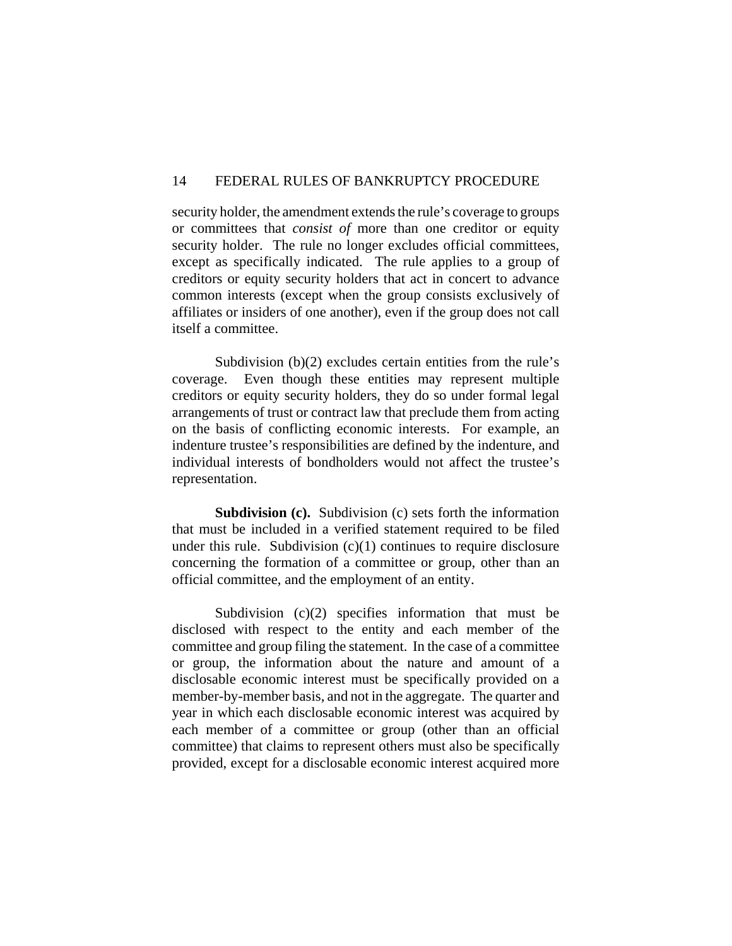security holder, the amendment extends the rule's coverage to groups or committees that *consist of* more than one creditor or equity security holder. The rule no longer excludes official committees, except as specifically indicated. The rule applies to a group of creditors or equity security holders that act in concert to advance common interests (except when the group consists exclusively of affiliates or insiders of one another), even if the group does not call itself a committee.

Subdivision (b)(2) excludes certain entities from the rule's coverage. Even though these entities may represent multiple creditors or equity security holders, they do so under formal legal arrangements of trust or contract law that preclude them from acting on the basis of conflicting economic interests. For example, an indenture trustee's responsibilities are defined by the indenture, and individual interests of bondholders would not affect the trustee's representation.

**Subdivision (c).** Subdivision (c) sets forth the information that must be included in a verified statement required to be filed under this rule. Subdivision  $(c)(1)$  continues to require disclosure concerning the formation of a committee or group, other than an official committee, and the employment of an entity.

Subdivision (c)(2) specifies information that must be disclosed with respect to the entity and each member of the committee and group filing the statement. In the case of a committee or group, the information about the nature and amount of a disclosable economic interest must be specifically provided on a member-by-member basis, and not in the aggregate. The quarter and year in which each disclosable economic interest was acquired by each member of a committee or group (other than an official committee) that claims to represent others must also be specifically provided, except for a disclosable economic interest acquired more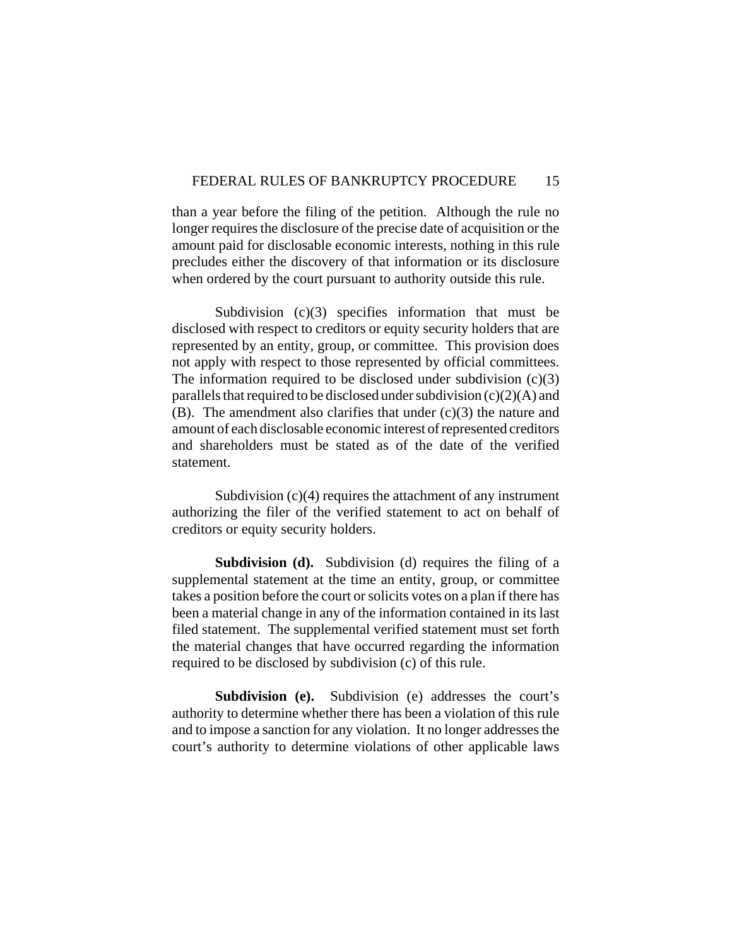than a year before the filing of the petition. Although the rule no longer requires the disclosure of the precise date of acquisition or the amount paid for disclosable economic interests, nothing in this rule precludes either the discovery of that information or its disclosure when ordered by the court pursuant to authority outside this rule.

Subdivision (c)(3) specifies information that must be disclosed with respect to creditors or equity security holders that are represented by an entity, group, or committee. This provision does not apply with respect to those represented by official committees. The information required to be disclosed under subdivision  $(c)(3)$ parallels that required to be disclosed under subdivision  $(c)(2)(A)$  and  $(B)$ . The amendment also clarifies that under  $(c)(3)$  the nature and amount of each disclosable economic interest of represented creditors and shareholders must be stated as of the date of the verified statement.

Subdivision  $(c)(4)$  requires the attachment of any instrument authorizing the filer of the verified statement to act on behalf of creditors or equity security holders.

**Subdivision (d).** Subdivision (d) requires the filing of a supplemental statement at the time an entity, group, or committee takes a position before the court or solicits votes on a plan if there has been a material change in any of the information contained in its last filed statement. The supplemental verified statement must set forth the material changes that have occurred regarding the information required to be disclosed by subdivision (c) of this rule.

**Subdivision (e).** Subdivision (e) addresses the court's authority to determine whether there has been a violation of this rule and to impose a sanction for any violation. It no longer addresses the court's authority to determine violations of other applicable laws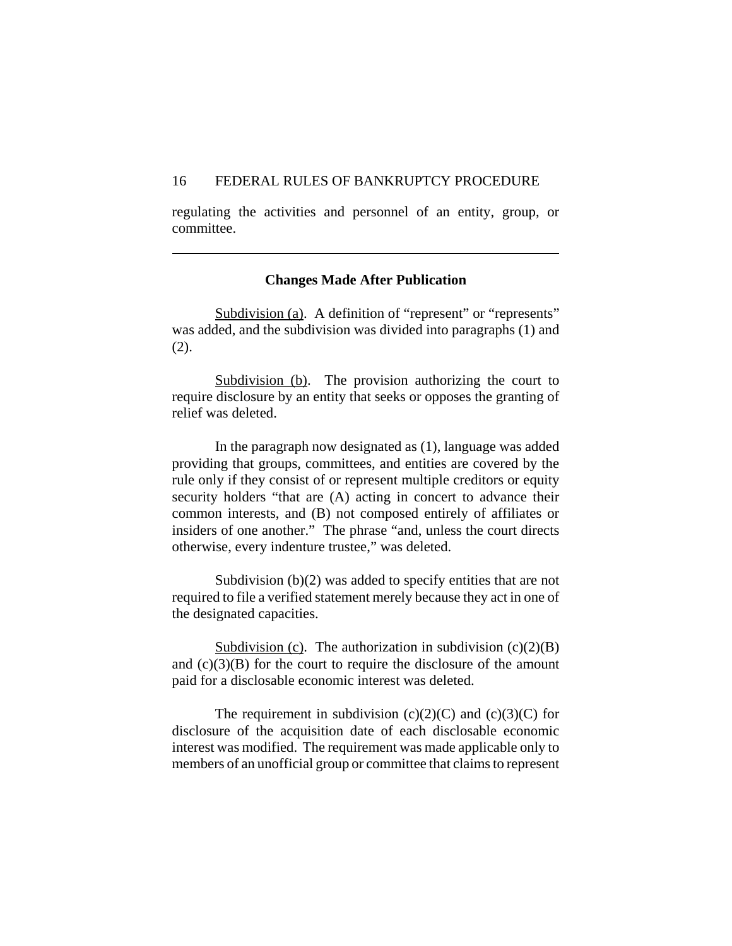regulating the activities and personnel of an entity, group, or committee.

#### **Changes Made After Publication**

Subdivision (a). A definition of "represent" or "represents" was added, and the subdivision was divided into paragraphs (1) and (2).

Subdivision (b). The provision authorizing the court to require disclosure by an entity that seeks or opposes the granting of relief was deleted.

In the paragraph now designated as (1), language was added providing that groups, committees, and entities are covered by the rule only if they consist of or represent multiple creditors or equity security holders "that are (A) acting in concert to advance their common interests, and (B) not composed entirely of affiliates or insiders of one another." The phrase "and, unless the court directs otherwise, every indenture trustee," was deleted.

Subdivision (b)(2) was added to specify entities that are not required to file a verified statement merely because they act in one of the designated capacities.

Subdivision (c). The authorization in subdivision  $(c)(2)(B)$ and  $(c)(3)(B)$  for the court to require the disclosure of the amount paid for a disclosable economic interest was deleted.

The requirement in subdivision  $(c)(2)(C)$  and  $(c)(3)(C)$  for disclosure of the acquisition date of each disclosable economic interest was modified. The requirement was made applicable only to members of an unofficial group or committee that claims to represent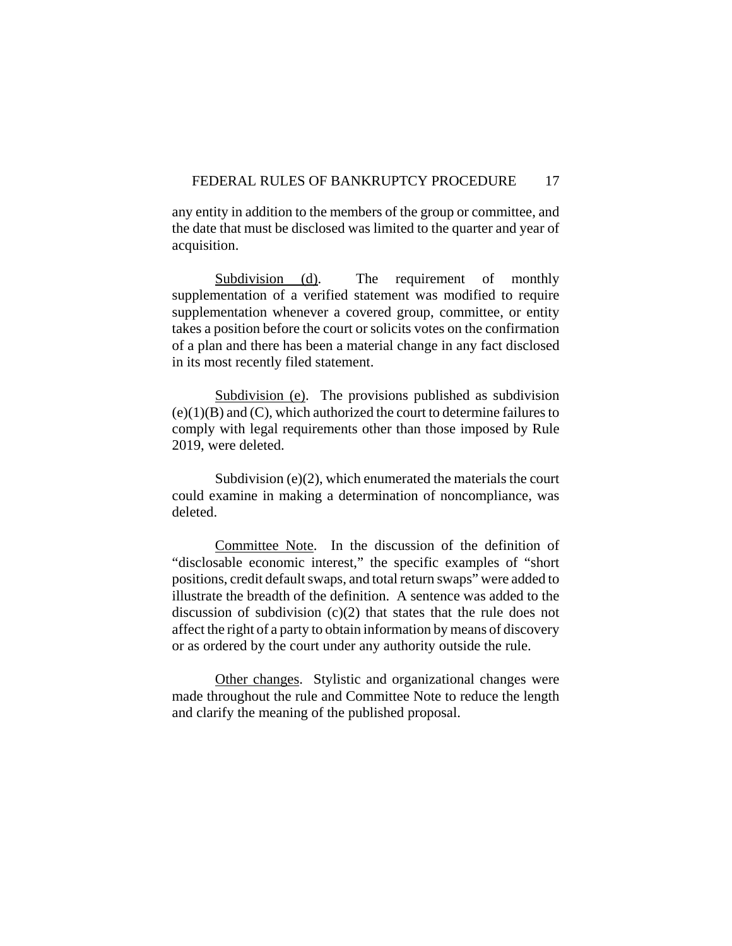any entity in addition to the members of the group or committee, and the date that must be disclosed was limited to the quarter and year of acquisition.

Subdivision (d). The requirement of monthly supplementation of a verified statement was modified to require supplementation whenever a covered group, committee, or entity takes a position before the court or solicits votes on the confirmation of a plan and there has been a material change in any fact disclosed in its most recently filed statement.

Subdivision (e). The provisions published as subdivision  $(e)(1)(B)$  and  $(C)$ , which authorized the court to determine failures to comply with legal requirements other than those imposed by Rule 2019, were deleted.

Subdivision (e)(2), which enumerated the materials the court could examine in making a determination of noncompliance, was deleted.

Committee Note. In the discussion of the definition of "disclosable economic interest," the specific examples of "short positions, credit default swaps, and total return swaps" were added to illustrate the breadth of the definition. A sentence was added to the discussion of subdivision (c)(2) that states that the rule does not affect the right of a party to obtain information by means of discovery or as ordered by the court under any authority outside the rule.

Other changes. Stylistic and organizational changes were made throughout the rule and Committee Note to reduce the length and clarify the meaning of the published proposal.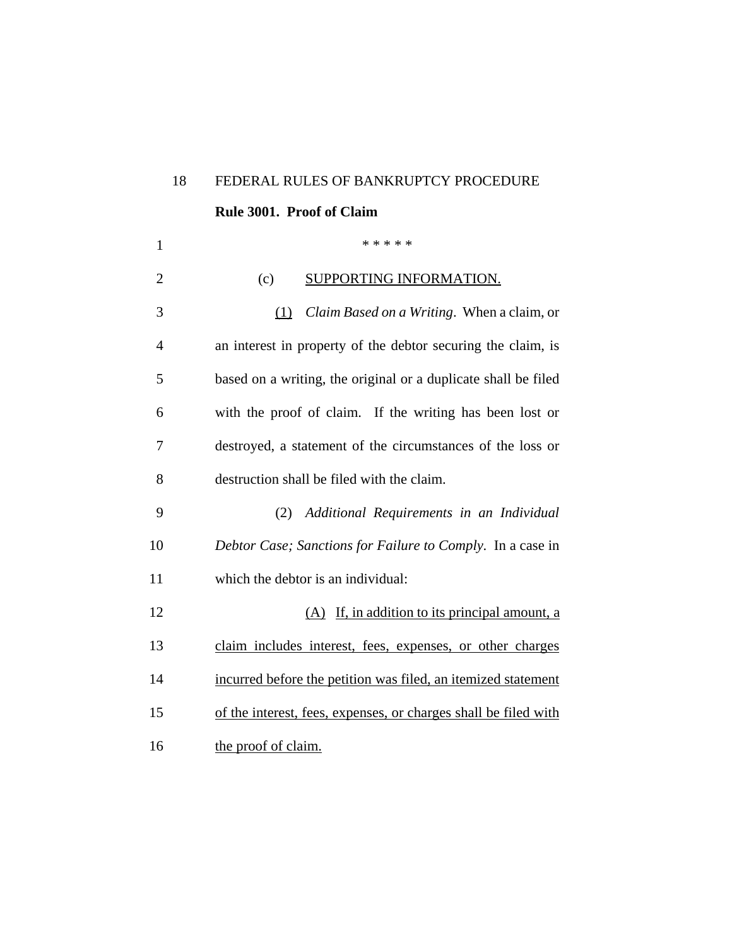|                | 18 | FEDERAL RULES OF BANKRUPTCY PROCEDURE                           |
|----------------|----|-----------------------------------------------------------------|
|                |    | Rule 3001. Proof of Claim                                       |
| 1              |    | * * * * *                                                       |
| $\overline{2}$ |    | SUPPORTING INFORMATION.<br>(c)                                  |
| 3              |    | Claim Based on a Writing. When a claim, or<br>(1)               |
| $\overline{4}$ |    | an interest in property of the debtor securing the claim, is    |
| 5              |    | based on a writing, the original or a duplicate shall be filed  |
| 6              |    | with the proof of claim. If the writing has been lost or        |
| 7              |    | destroyed, a statement of the circumstances of the loss or      |
| 8              |    | destruction shall be filed with the claim.                      |
| 9              |    | Additional Requirements in an Individual<br>(2)                 |
| 10             |    | Debtor Case; Sanctions for Failure to Comply. In a case in      |
| 11             |    | which the debtor is an individual:                              |
| 12             |    | (A) If, in addition to its principal amount, a                  |
| 13             |    | claim includes interest, fees, expenses, or other charges       |
| 14             |    | incurred before the petition was filed, an itemized statement   |
| 15             |    | of the interest, fees, expenses, or charges shall be filed with |
| 16             |    | the proof of claim.                                             |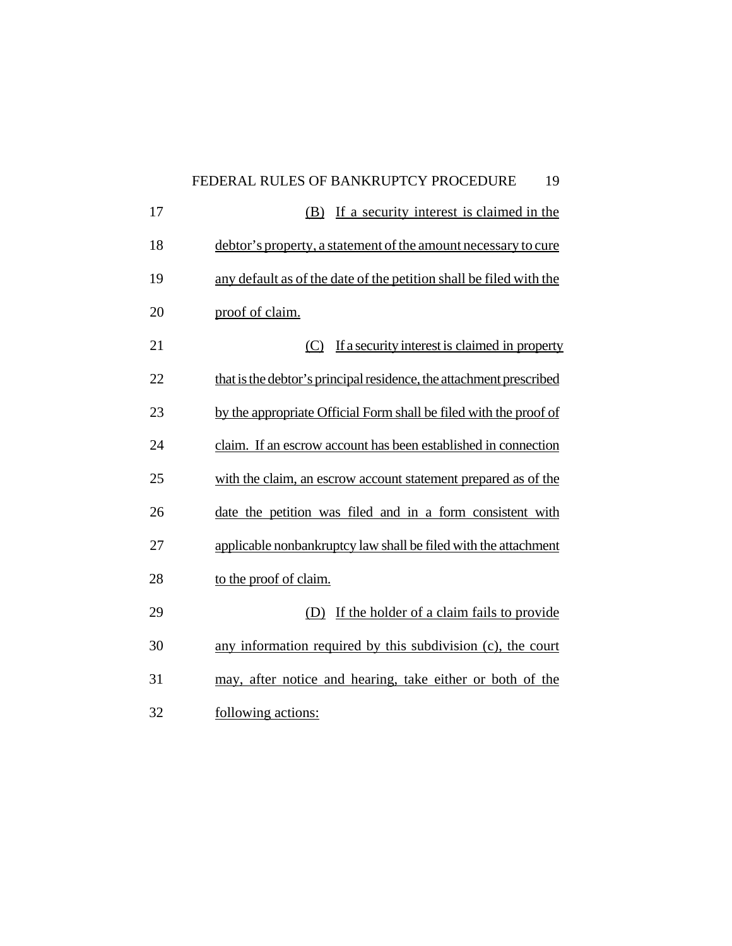|    | FEDERAL RULES OF BANKRUPTCY PROCEDURE<br>19                         |
|----|---------------------------------------------------------------------|
| 17 | (B) If a security interest is claimed in the                        |
| 18 | debtor's property, a statement of the amount necessary to cure      |
| 19 | any default as of the date of the petition shall be filed with the  |
| 20 | proof of claim.                                                     |
| 21 | <u>If a security interest is claimed in property</u><br>(C)         |
| 22 | that is the debtor's principal residence, the attachment prescribed |
| 23 | by the appropriate Official Form shall be filed with the proof of   |
| 24 | claim. If an escrow account has been established in connection      |
| 25 | with the claim, an escrow account statement prepared as of the      |
| 26 | date the petition was filed and in a form consistent with           |
| 27 | applicable nonbankruptcy law shall be filed with the attachment     |
| 28 | to the proof of claim.                                              |
| 29 | (D) If the holder of a claim fails to provide                       |
| 30 | any information required by this subdivision (c), the court         |
| 31 | may, after notice and hearing, take either or both of the           |
| 32 | following actions:                                                  |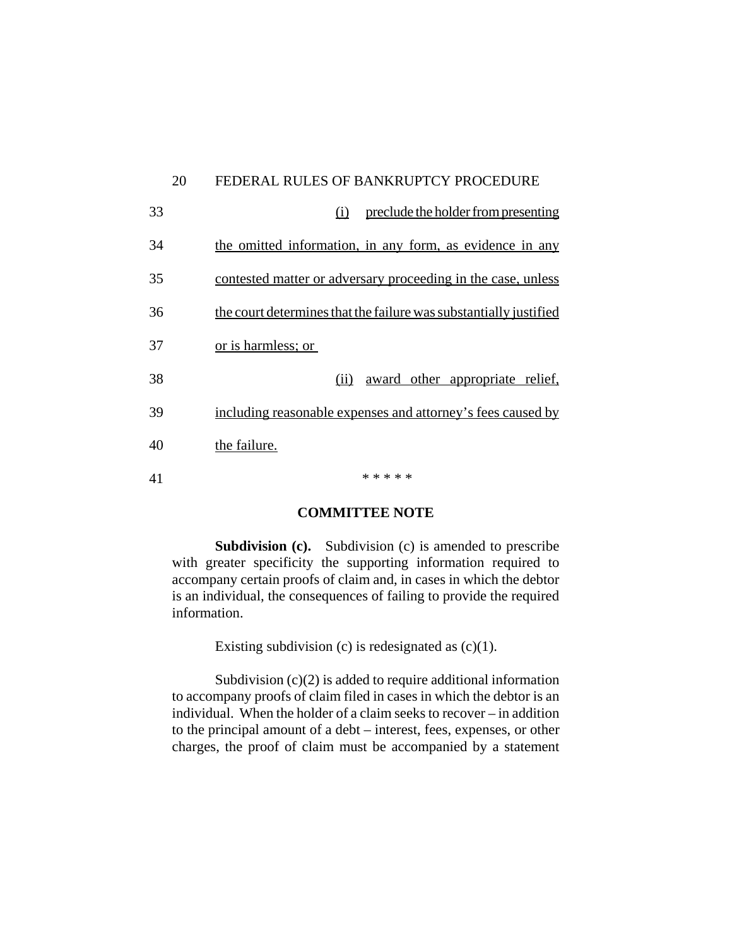| 20 | FEDERAL RULES OF BANKRUPTCY PROCEDURE                             |
|----|-------------------------------------------------------------------|
| 33 | preclude the holder from presenting<br>(i)                        |
| 34 | the omitted information, in any form, as evidence in any          |
| 35 | contested matter or adversary proceeding in the case, unless      |
| 36 | the court determines that the failure was substantially justified |
| 37 | or is harmless; or                                                |
| 38 | award other appropriate relief,<br>(i)                            |
| 39 | including reasonable expenses and attorney's fees caused by       |
| 40 | the failure.                                                      |
| 41 | * * * * *                                                         |

## **COMMITTEE NOTE**

**Subdivision (c).** Subdivision (c) is amended to prescribe with greater specificity the supporting information required to accompany certain proofs of claim and, in cases in which the debtor is an individual, the consequences of failing to provide the required information.

Existing subdivision  $(c)$  is redesignated as  $(c)(1)$ .

Subdivision  $(c)(2)$  is added to require additional information to accompany proofs of claim filed in cases in which the debtor is an individual. When the holder of a claim seeks to recover – in addition to the principal amount of a debt – interest, fees, expenses, or other charges, the proof of claim must be accompanied by a statement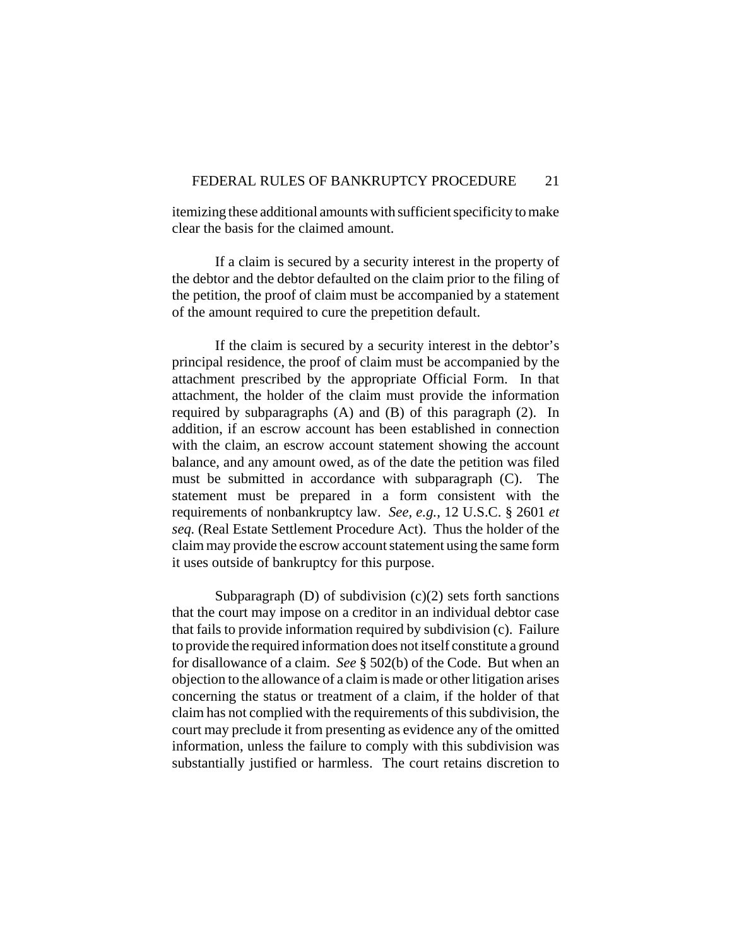itemizing these additional amounts with sufficient specificity to make clear the basis for the claimed amount.

If a claim is secured by a security interest in the property of the debtor and the debtor defaulted on the claim prior to the filing of the petition, the proof of claim must be accompanied by a statement of the amount required to cure the prepetition default.

If the claim is secured by a security interest in the debtor's principal residence, the proof of claim must be accompanied by the attachment prescribed by the appropriate Official Form. In that attachment, the holder of the claim must provide the information required by subparagraphs (A) and (B) of this paragraph (2). In addition, if an escrow account has been established in connection with the claim, an escrow account statement showing the account balance, and any amount owed, as of the date the petition was filed must be submitted in accordance with subparagraph (C). The statement must be prepared in a form consistent with the requirements of nonbankruptcy law. *See, e.g.,* 12 U.S.C. § 2601 *et seq.* (Real Estate Settlement Procedure Act). Thus the holder of the claim may provide the escrow account statement using the same form it uses outside of bankruptcy for this purpose.

Subparagraph  $(D)$  of subdivision  $(c)(2)$  sets forth sanctions that the court may impose on a creditor in an individual debtor case that fails to provide information required by subdivision (c). Failure to provide the required information does not itself constitute a ground for disallowance of a claim. *See* § 502(b) of the Code. But when an objection to the allowance of a claim is made or other litigation arises concerning the status or treatment of a claim, if the holder of that claim has not complied with the requirements of this subdivision, the court may preclude it from presenting as evidence any of the omitted information, unless the failure to comply with this subdivision was substantially justified or harmless. The court retains discretion to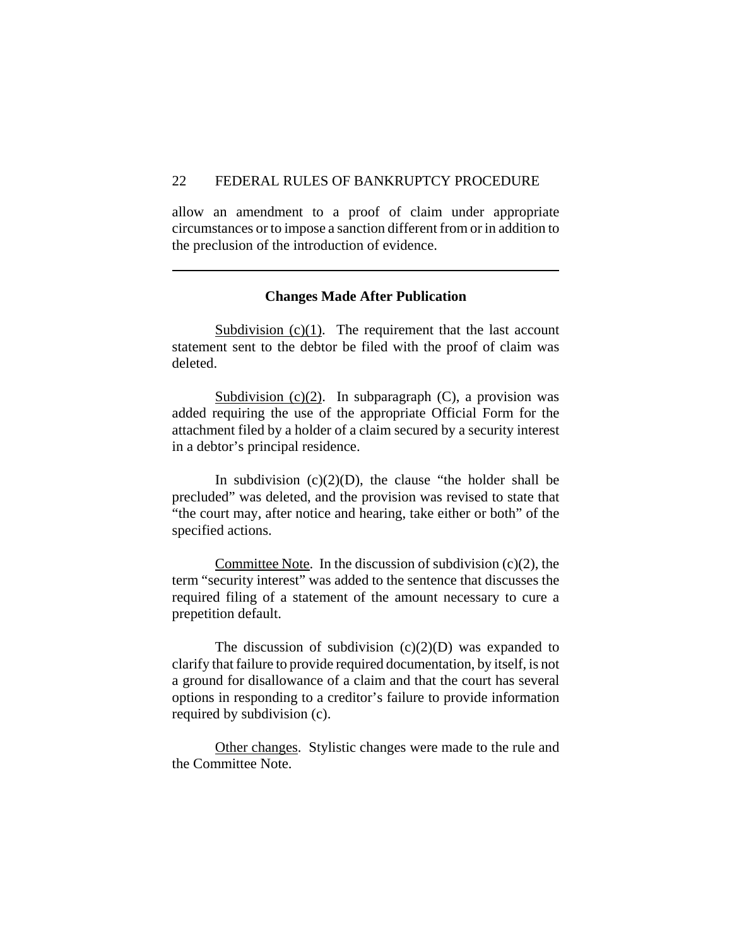allow an amendment to a proof of claim under appropriate circumstances or to impose a sanction different from or in addition to the preclusion of the introduction of evidence.

#### **Changes Made After Publication**

Subdivision  $(c)(1)$ . The requirement that the last account statement sent to the debtor be filed with the proof of claim was deleted.

Subdivision (c)(2). In subparagraph (C), a provision was added requiring the use of the appropriate Official Form for the attachment filed by a holder of a claim secured by a security interest in a debtor's principal residence.

In subdivision  $(c)(2)(D)$ , the clause "the holder shall be precluded" was deleted, and the provision was revised to state that "the court may, after notice and hearing, take either or both" of the specified actions.

Committee Note. In the discussion of subdivision  $(c)(2)$ , the term "security interest" was added to the sentence that discusses the required filing of a statement of the amount necessary to cure a prepetition default.

The discussion of subdivision  $(c)(2)(D)$  was expanded to clarify that failure to provide required documentation, by itself, is not a ground for disallowance of a claim and that the court has several options in responding to a creditor's failure to provide information required by subdivision (c).

Other changes. Stylistic changes were made to the rule and the Committee Note.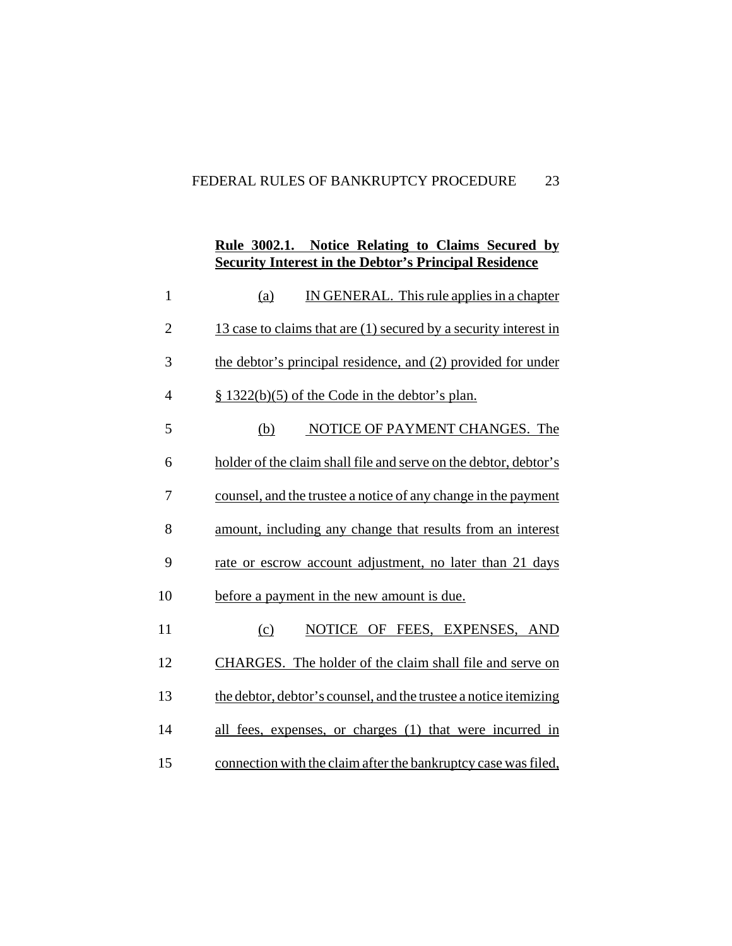# **Rule 3002.1. Notice Relating to Claims Secured by Security Interest in the Debtor's Principal Residence**

| $\mathbf{1}$   | IN GENERAL. This rule applies in a chapter<br>(a)                |
|----------------|------------------------------------------------------------------|
| $\overline{2}$ | 13 case to claims that are (1) secured by a security interest in |
| 3              | the debtor's principal residence, and (2) provided for under     |
| $\overline{4}$ | § 1322(b)(5) of the Code in the debtor's plan.                   |
| 5              | NOTICE OF PAYMENT CHANGES. The<br>(b)                            |
| 6              | holder of the claim shall file and serve on the debtor, debtor's |
| 7              | counsel, and the trustee a notice of any change in the payment   |
| 8              | amount, including any change that results from an interest       |
| 9              | rate or escrow account adjustment, no later than 21 days         |
| 10             | before a payment in the new amount is due.                       |
| 11             | NOTICE OF FEES, EXPENSES, AND<br>(c)                             |
| 12             | CHARGES. The holder of the claim shall file and serve on         |
| 13             | the debtor, debtor's counsel, and the trustee a notice itemizing |
| 14             | all fees, expenses, or charges (1) that were incurred in         |
| 15             | connection with the claim after the bankruptcy case was filed.   |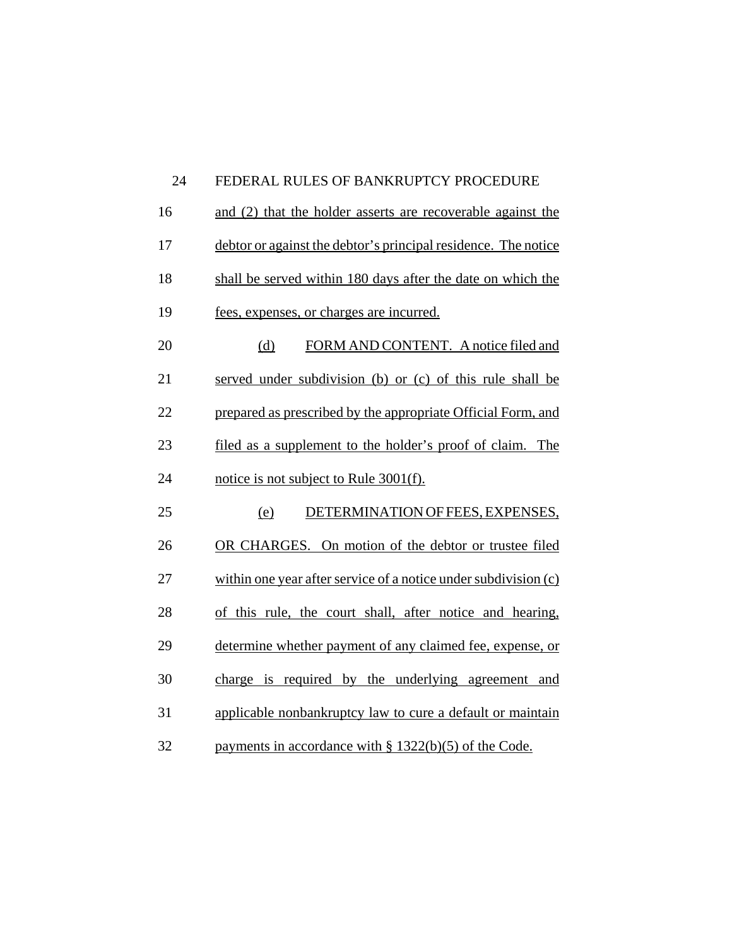| 24 | FEDERAL RULES OF BANKRUPTCY PROCEDURE                           |
|----|-----------------------------------------------------------------|
| 16 | and (2) that the holder asserts are recoverable against the     |
| 17 | debtor or against the debtor's principal residence. The notice  |
| 18 | shall be served within 180 days after the date on which the     |
| 19 | fees, expenses, or charges are incurred.                        |
| 20 | FORM AND CONTENT. A notice filed and<br>(d)                     |
| 21 | served under subdivision (b) or (c) of this rule shall be       |
| 22 | prepared as prescribed by the appropriate Official Form, and    |
| 23 | filed as a supplement to the holder's proof of claim. The       |
| 24 | notice is not subject to Rule 3001(f).                          |
| 25 | DETERMINATION OF FEES, EXPENSES,<br>(e)                         |
| 26 | OR CHARGES. On motion of the debtor or trustee filed            |
| 27 | within one year after service of a notice under subdivision (c) |
| 28 | of this rule, the court shall, after notice and hearing,        |
| 29 | determine whether payment of any claimed fee, expense, or       |
| 30 | charge is required by the underlying agreement and              |
| 31 | applicable nonbankruptcy law to cure a default or maintain      |
| 32 | payments in accordance with § 1322(b)(5) of the Code.           |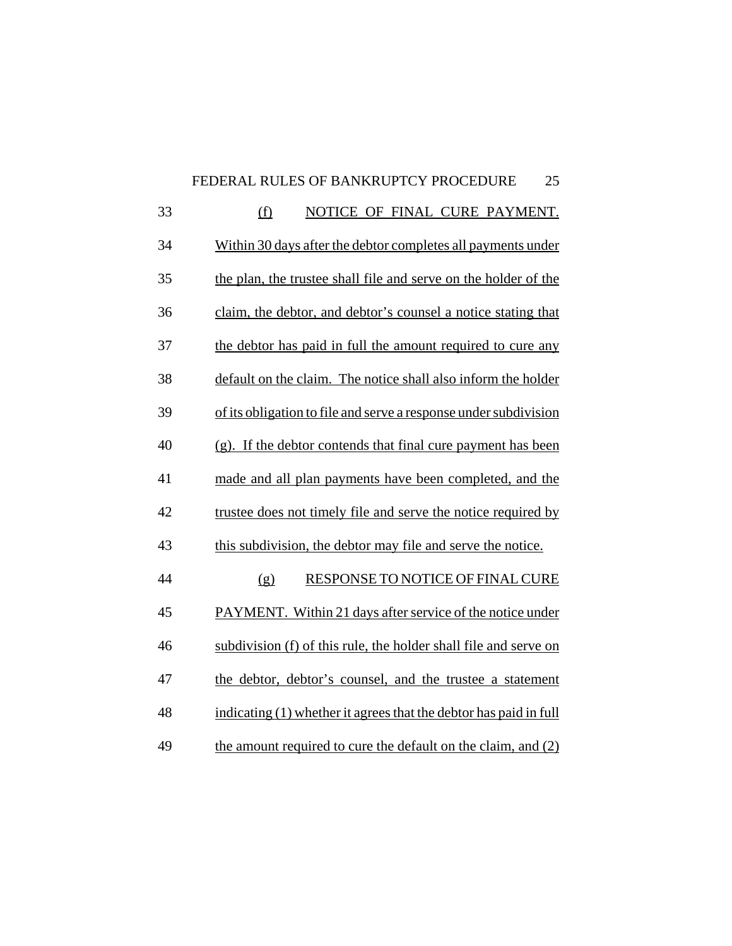| FEDERAL RULES OF BANKRUPTCY PROCEDURE |  |
|---------------------------------------|--|
|---------------------------------------|--|

| 33 | NOTICE OF FINAL CURE PAYMENT.<br>(f)                              |
|----|-------------------------------------------------------------------|
| 34 | Within 30 days after the debtor completes all payments under      |
| 35 | the plan, the trustee shall file and serve on the holder of the   |
| 36 | claim, the debtor, and debtor's counsel a notice stating that     |
| 37 | the debtor has paid in full the amount required to cure any       |
| 38 | default on the claim. The notice shall also inform the holder     |
| 39 | of its obligation to file and serve a response under subdivision  |
| 40 | (g). If the debtor contends that final cure payment has been      |
| 41 | made and all plan payments have been completed, and the           |
| 42 | trustee does not timely file and serve the notice required by     |
| 43 | this subdivision, the debtor may file and serve the notice.       |
| 44 | RESPONSE TO NOTICE OF FINAL CURE<br>(g)                           |
| 45 | <b>PAYMENT.</b> Within 21 days after service of the notice under  |
| 46 | subdivision (f) of this rule, the holder shall file and serve on  |
| 47 | the debtor, debtor's counsel, and the trustee a statement         |
| 48 | indicating (1) whether it agrees that the debtor has paid in full |
| 49 | the amount required to cure the default on the claim, and (2)     |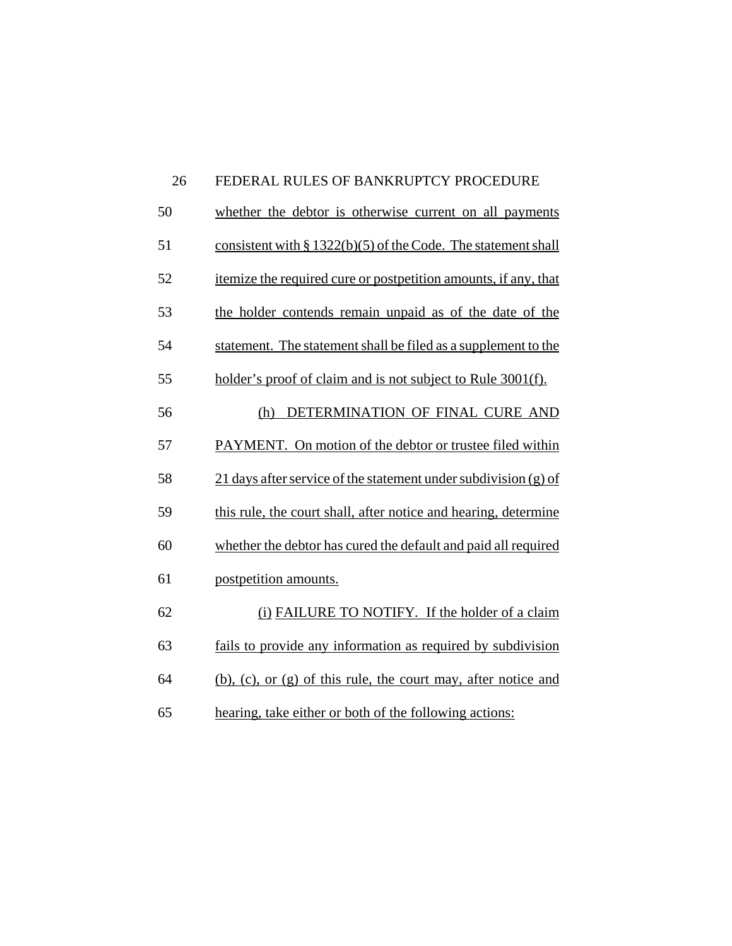| 26 | FEDERAL RULES OF BANKRUPTCY PROCEDURE                             |
|----|-------------------------------------------------------------------|
| 50 | whether the debtor is otherwise current on all payments           |
| 51 | consistent with $\S 1322(b)(5)$ of the Code. The statement shall  |
| 52 | itemize the required cure or postpetition amounts, if any, that   |
| 53 | the holder contends remain unpaid as of the date of the           |
| 54 | statement. The statement shall be filed as a supplement to the    |
| 55 | holder's proof of claim and is not subject to Rule 3001(f).       |
| 56 | (h) DETERMINATION OF FINAL CURE AND                               |
| 57 | PAYMENT. On motion of the debtor or trustee filed within          |
| 58 | $21$ days after service of the statement under subdivision (g) of |
| 59 | this rule, the court shall, after notice and hearing, determine   |
| 60 | whether the debtor has cured the default and paid all required    |
| 61 | postpetition amounts.                                             |
| 62 | (i) FAILURE TO NOTIFY. If the holder of a claim                   |
| 63 | fails to provide any information as required by subdivision       |
| 64 | (b), (c), or (g) of this rule, the court may, after notice and    |
| 65 | hearing, take either or both of the following actions:            |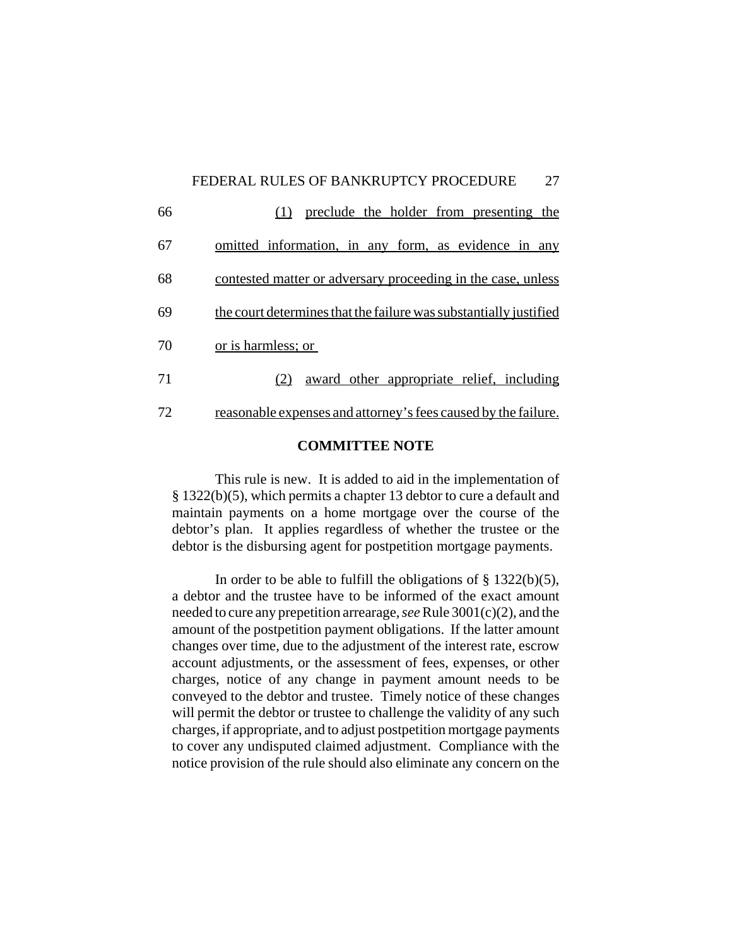| 66 | preclude the holder from presenting the<br>(1)                        |
|----|-----------------------------------------------------------------------|
| 67 | omitted information, in any form, as evidence in any                  |
| 68 | contested matter or adversary proceeding in the case, unless          |
| 69 | the court determines that the failure was substantially justified     |
| 70 | or is harmless; or                                                    |
| 71 | award other appropriate relief, including<br>(2)                      |
| 72 | <u>reasonable expenses and attorney's fees caused by the failure.</u> |

#### **COMMITTEE NOTE**

This rule is new. It is added to aid in the implementation of § 1322(b)(5), which permits a chapter 13 debtor to cure a default and maintain payments on a home mortgage over the course of the debtor's plan. It applies regardless of whether the trustee or the debtor is the disbursing agent for postpetition mortgage payments.

In order to be able to fulfill the obligations of  $\S$  1322(b)(5), a debtor and the trustee have to be informed of the exact amount needed to cure any prepetition arrearage, *see* Rule 3001(c)(2), and the amount of the postpetition payment obligations. If the latter amount changes over time, due to the adjustment of the interest rate, escrow account adjustments, or the assessment of fees, expenses, or other charges, notice of any change in payment amount needs to be conveyed to the debtor and trustee. Timely notice of these changes will permit the debtor or trustee to challenge the validity of any such charges, if appropriate, and to adjust postpetition mortgage payments to cover any undisputed claimed adjustment. Compliance with the notice provision of the rule should also eliminate any concern on the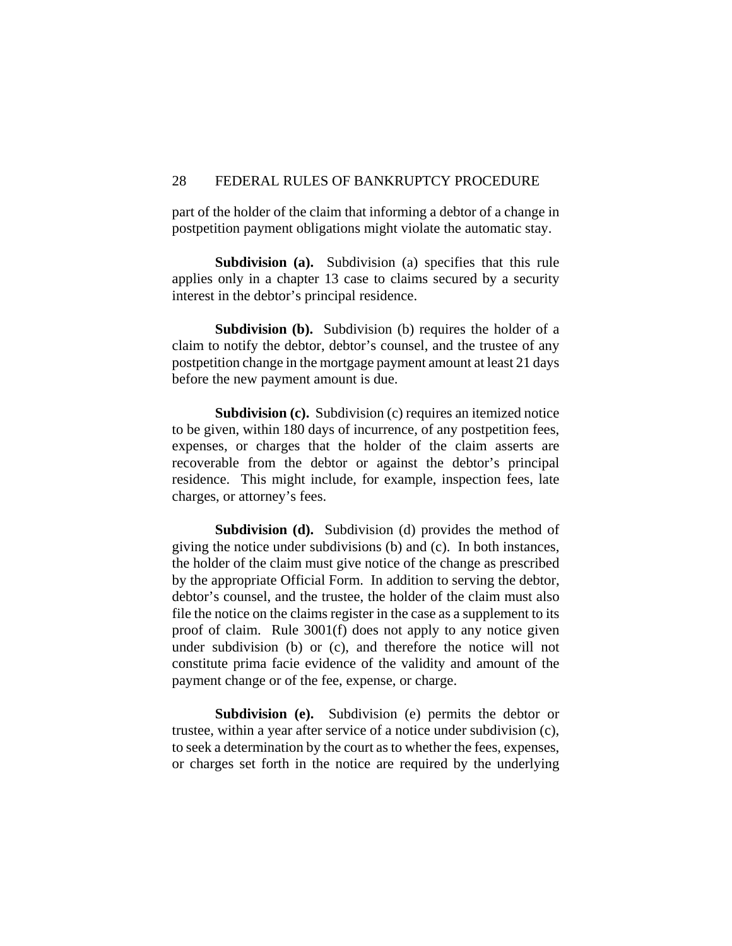part of the holder of the claim that informing a debtor of a change in postpetition payment obligations might violate the automatic stay.

**Subdivision (a).** Subdivision (a) specifies that this rule applies only in a chapter 13 case to claims secured by a security interest in the debtor's principal residence.

**Subdivision (b).** Subdivision (b) requires the holder of a claim to notify the debtor, debtor's counsel, and the trustee of any postpetition change in the mortgage payment amount at least 21 days before the new payment amount is due.

**Subdivision (c).** Subdivision (c) requires an itemized notice to be given, within 180 days of incurrence, of any postpetition fees, expenses, or charges that the holder of the claim asserts are recoverable from the debtor or against the debtor's principal residence. This might include, for example, inspection fees, late charges, or attorney's fees.

**Subdivision (d).** Subdivision (d) provides the method of giving the notice under subdivisions (b) and (c). In both instances, the holder of the claim must give notice of the change as prescribed by the appropriate Official Form. In addition to serving the debtor, debtor's counsel, and the trustee, the holder of the claim must also file the notice on the claims register in the case as a supplement to its proof of claim. Rule 3001(f) does not apply to any notice given under subdivision (b) or (c), and therefore the notice will not constitute prima facie evidence of the validity and amount of the payment change or of the fee, expense, or charge.

**Subdivision (e).** Subdivision (e) permits the debtor or trustee, within a year after service of a notice under subdivision (c), to seek a determination by the court as to whether the fees, expenses, or charges set forth in the notice are required by the underlying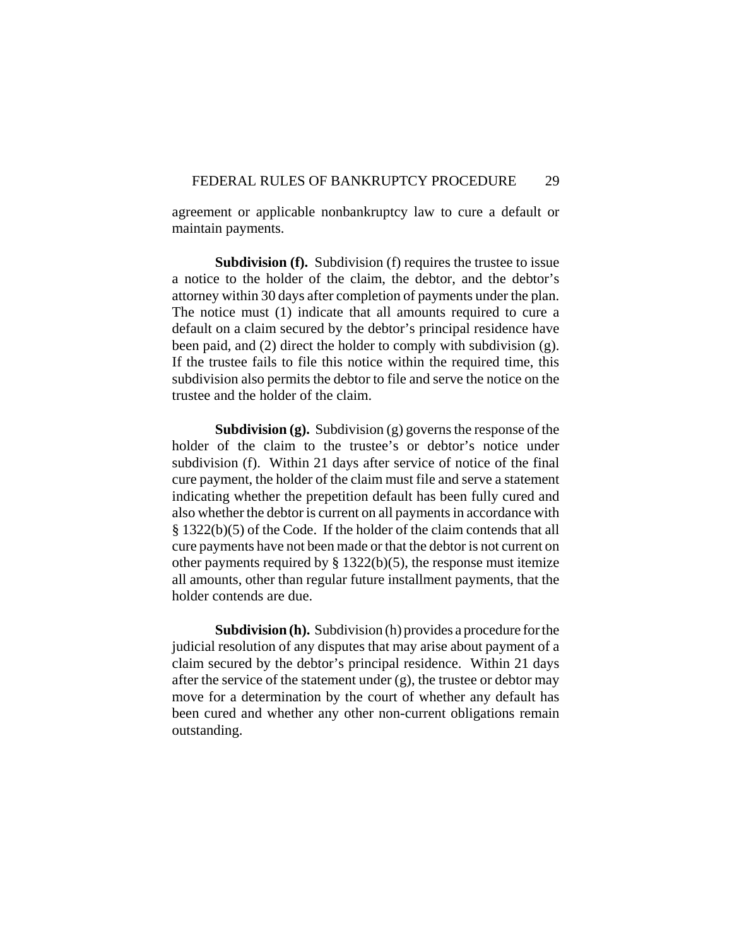agreement or applicable nonbankruptcy law to cure a default or maintain payments.

**Subdivision (f).** Subdivision (f) requires the trustee to issue a notice to the holder of the claim, the debtor, and the debtor's attorney within 30 days after completion of payments under the plan. The notice must (1) indicate that all amounts required to cure a default on a claim secured by the debtor's principal residence have been paid, and (2) direct the holder to comply with subdivision (g). If the trustee fails to file this notice within the required time, this subdivision also permits the debtor to file and serve the notice on the trustee and the holder of the claim.

**Subdivision (g).** Subdivision (g) governs the response of the holder of the claim to the trustee's or debtor's notice under subdivision (f). Within 21 days after service of notice of the final cure payment, the holder of the claim must file and serve a statement indicating whether the prepetition default has been fully cured and also whether the debtor is current on all payments in accordance with § 1322(b)(5) of the Code. If the holder of the claim contends that all cure payments have not been made or that the debtor is not current on other payments required by  $\S 1322(b)(5)$ , the response must itemize all amounts, other than regular future installment payments, that the holder contends are due.

**Subdivision (h).** Subdivision (h) provides a procedure for the judicial resolution of any disputes that may arise about payment of a claim secured by the debtor's principal residence. Within 21 days after the service of the statement under  $(g)$ , the trustee or debtor may move for a determination by the court of whether any default has been cured and whether any other non-current obligations remain outstanding.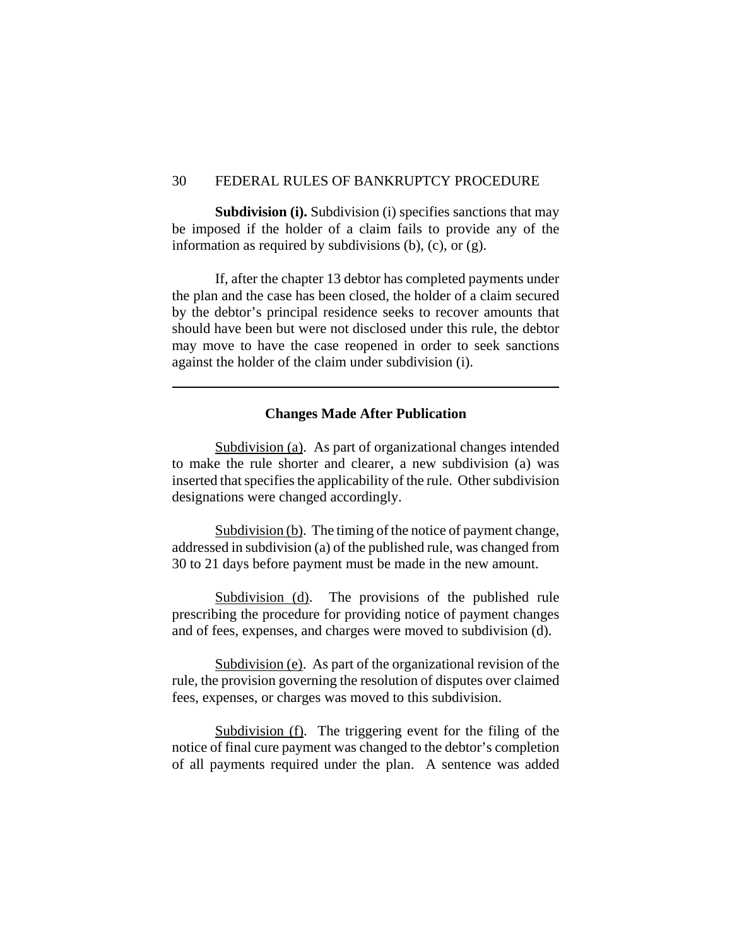**Subdivision (i).** Subdivision (i) specifies sanctions that may be imposed if the holder of a claim fails to provide any of the information as required by subdivisions (b), (c), or (g).

If, after the chapter 13 debtor has completed payments under the plan and the case has been closed, the holder of a claim secured by the debtor's principal residence seeks to recover amounts that should have been but were not disclosed under this rule, the debtor may move to have the case reopened in order to seek sanctions against the holder of the claim under subdivision (i).

## **Changes Made After Publication**

Subdivision (a). As part of organizational changes intended to make the rule shorter and clearer, a new subdivision (a) was inserted that specifies the applicability of the rule. Other subdivision designations were changed accordingly.

Subdivision (b). The timing of the notice of payment change, addressed in subdivision (a) of the published rule, was changed from 30 to 21 days before payment must be made in the new amount.

Subdivision (d). The provisions of the published rule prescribing the procedure for providing notice of payment changes and of fees, expenses, and charges were moved to subdivision (d).

Subdivision (e). As part of the organizational revision of the rule, the provision governing the resolution of disputes over claimed fees, expenses, or charges was moved to this subdivision.

Subdivision (f). The triggering event for the filing of the notice of final cure payment was changed to the debtor's completion of all payments required under the plan. A sentence was added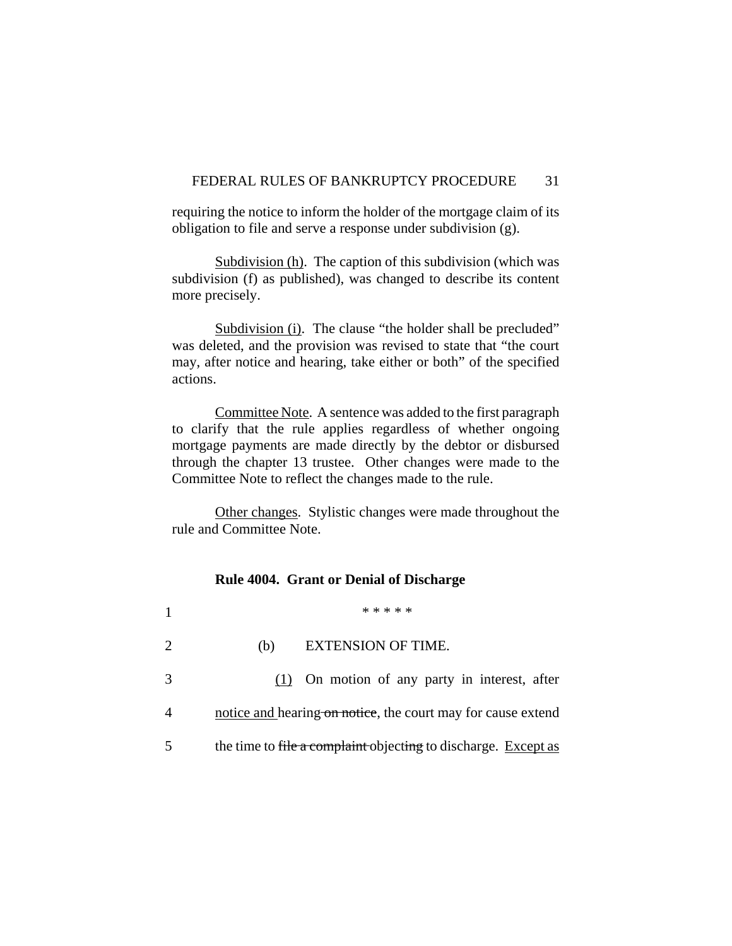requiring the notice to inform the holder of the mortgage claim of its obligation to file and serve a response under subdivision (g).

Subdivision (h). The caption of this subdivision (which was subdivision (f) as published), was changed to describe its content more precisely.

Subdivision (i). The clause "the holder shall be precluded" was deleted, and the provision was revised to state that "the court may, after notice and hearing, take either or both" of the specified actions.

Committee Note. A sentence was added to the first paragraph to clarify that the rule applies regardless of whether ongoing mortgage payments are made directly by the debtor or disbursed through the chapter 13 trustee. Other changes were made to the Committee Note to reflect the changes made to the rule.

Other changes. Stylistic changes were made throughout the rule and Committee Note.

## **Rule 4004. Grant or Denial of Discharge**

|   | * * * * *                                                      |
|---|----------------------------------------------------------------|
| 2 | <b>EXTENSION OF TIME.</b><br>(b)                               |
| 3 | $(1)$ On motion of any party in interest, after                |
| 4 | notice and hearing on notice, the court may for cause extend   |
| 5 | the time to file a complaint objecting to discharge. Except as |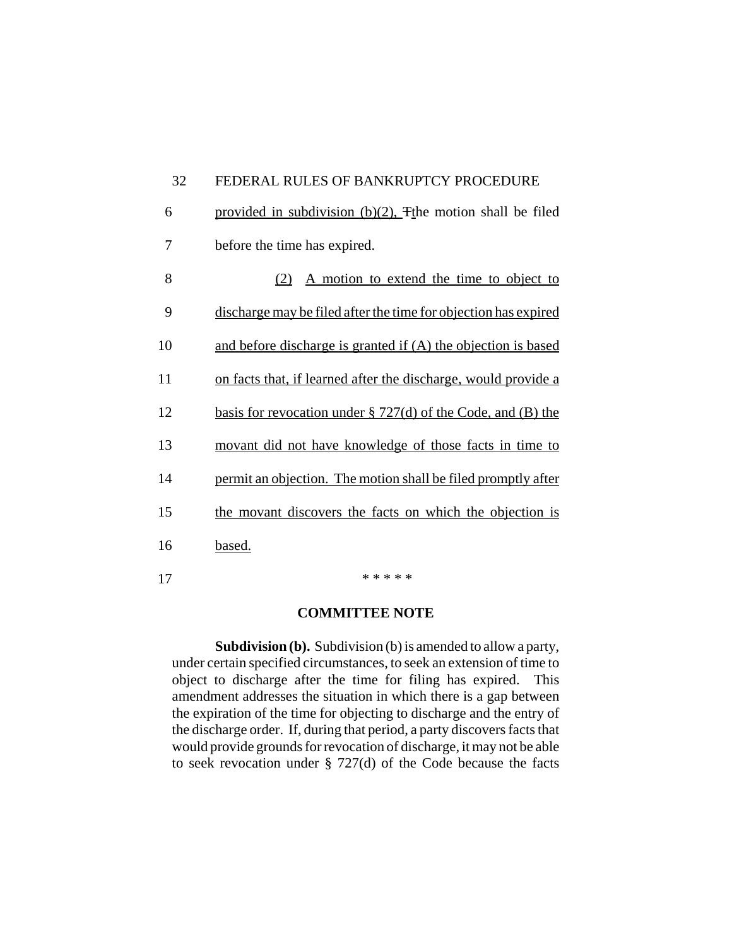| 32 | FEDERAL RULES OF BANKRUPTCY PROCEDURE                                             |
|----|-----------------------------------------------------------------------------------|
| 6  | provided in subdivision $(b)(2)$ . The motion shall be filed                      |
| 7  | before the time has expired.                                                      |
| 8  | A motion to extend the time to object to<br>(2)                                   |
| 9  | discharge may be filed after the time for objection has expired                   |
| 10 | and before discharge is granted if (A) the objection is based                     |
| 11 | on facts that, if learned after the discharge, would provide a                    |
| 12 | <u>basis for revocation under <math>\S</math> 727(d) of the Code, and (B) the</u> |
| 13 | <u>movant did not have knowledge of those facts in time to</u>                    |
| 14 | permit an objection. The motion shall be filed promptly after                     |
| 15 | the movant discovers the facts on which the objection is                          |
| 16 | based.                                                                            |
| 17 | * * * * *                                                                         |

## **COMMITTEE NOTE**

**Subdivision (b).** Subdivision (b) is amended to allow a party, under certain specified circumstances, to seek an extension of time to object to discharge after the time for filing has expired. This amendment addresses the situation in which there is a gap between the expiration of the time for objecting to discharge and the entry of the discharge order. If, during that period, a party discovers facts that would provide grounds for revocation of discharge, it may not be able to seek revocation under § 727(d) of the Code because the facts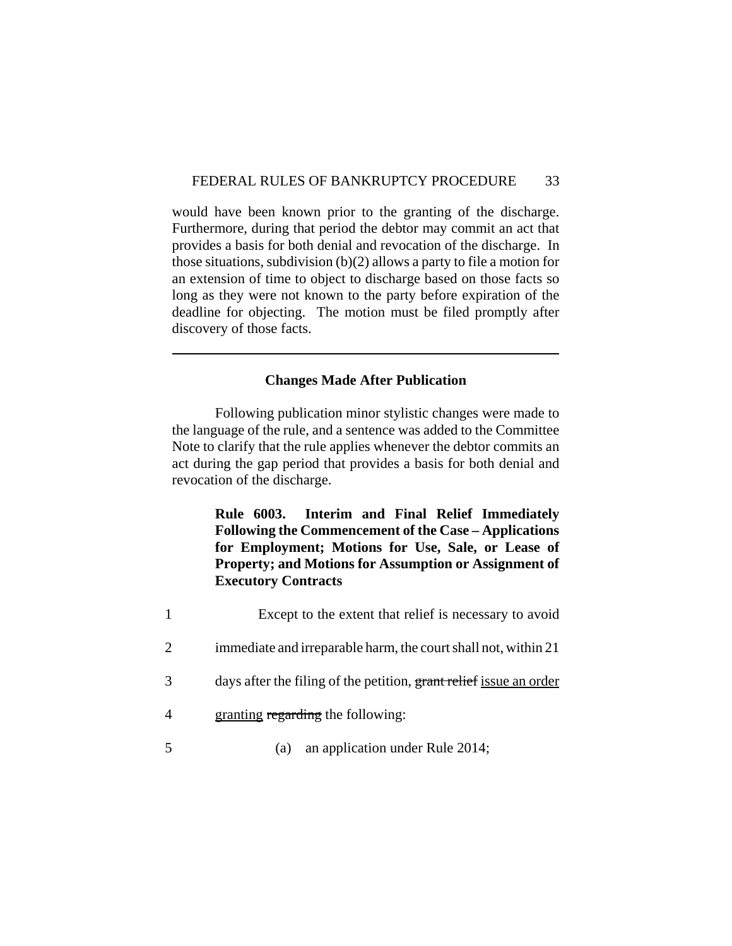would have been known prior to the granting of the discharge. Furthermore, during that period the debtor may commit an act that provides a basis for both denial and revocation of the discharge. In those situations, subdivision (b)(2) allows a party to file a motion for an extension of time to object to discharge based on those facts so long as they were not known to the party before expiration of the deadline for objecting. The motion must be filed promptly after discovery of those facts.

## **Changes Made After Publication**

Following publication minor stylistic changes were made to the language of the rule, and a sentence was added to the Committee Note to clarify that the rule applies whenever the debtor commits an act during the gap period that provides a basis for both denial and revocation of the discharge.

> **Rule 6003. Interim and Final Relief Immediately Following the Commencement of the Case – Applications for Employment; Motions for Use, Sale, or Lease of Property; and Motions for Assumption or Assignment of Executory Contracts**

- 1 Except to the extent that relief is necessary to avoid
- 2 immediate and irreparable harm, the court shall not, within 21
- 3 days after the filing of the petition, grant relief issue an order
- 4 granting regarding the following:
- 5 (a) an application under Rule 2014;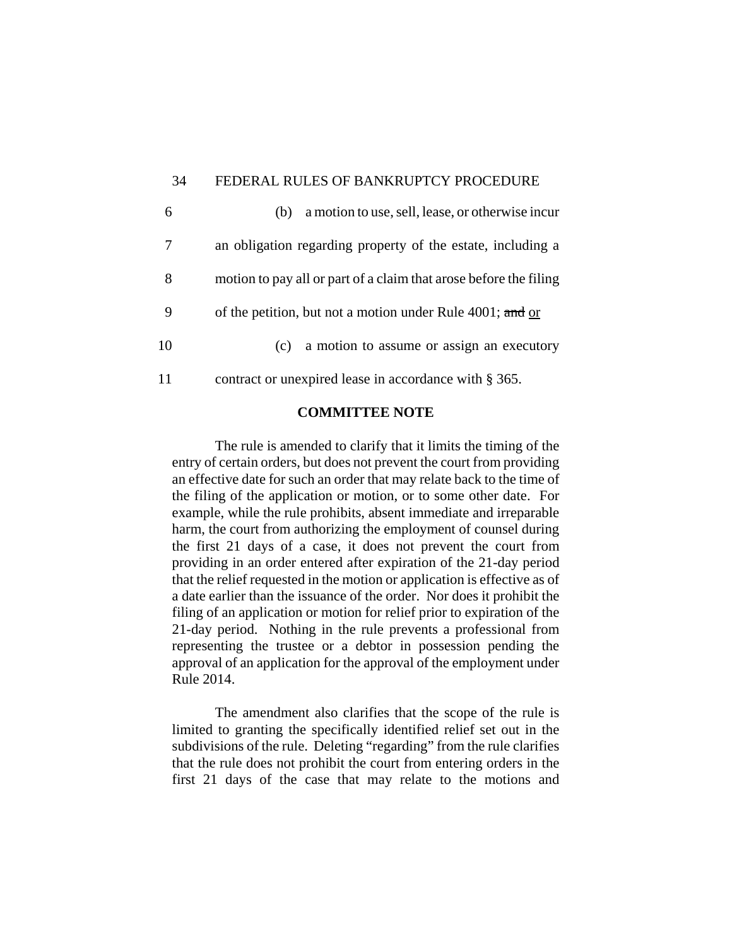| 34 | FEDERAL RULES OF BANKRUPTCY PROCEDURE                             |
|----|-------------------------------------------------------------------|
| 6  | a motion to use, sell, lease, or otherwise incur<br>(b)           |
|    | an obligation regarding property of the estate, including a       |
| 8  | motion to pay all or part of a claim that arose before the filing |
| 9  | of the petition, but not a motion under Rule $4001$ ; and or      |
| 10 | a motion to assume or assign an executory<br>(c)                  |
| 11 | contract or unexpired lease in accordance with § 365.             |

## **COMMITTEE NOTE**

The rule is amended to clarify that it limits the timing of the entry of certain orders, but does not prevent the court from providing an effective date for such an order that may relate back to the time of the filing of the application or motion, or to some other date. For example, while the rule prohibits, absent immediate and irreparable harm, the court from authorizing the employment of counsel during the first 21 days of a case, it does not prevent the court from providing in an order entered after expiration of the 21-day period that the relief requested in the motion or application is effective as of a date earlier than the issuance of the order. Nor does it prohibit the filing of an application or motion for relief prior to expiration of the 21-day period. Nothing in the rule prevents a professional from representing the trustee or a debtor in possession pending the approval of an application for the approval of the employment under Rule 2014.

The amendment also clarifies that the scope of the rule is limited to granting the specifically identified relief set out in the subdivisions of the rule. Deleting "regarding" from the rule clarifies that the rule does not prohibit the court from entering orders in the first 21 days of the case that may relate to the motions and